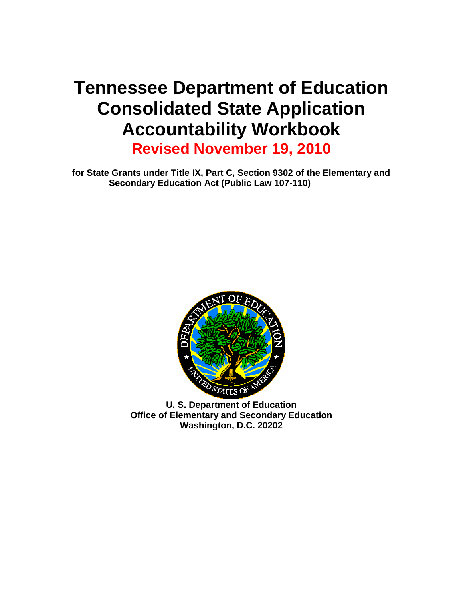# **Tennessee Department of Education Consolidated State Application Accountability Workbook**

**Revised November 19, 2010**

**for State Grants under Title IX, Part C, Section 9302 of the Elementary and Secondary Education Act (Public Law 107-110)**



**U. S. Department of Education Office of Elementary and Secondary Education Washington, D.C. 20202**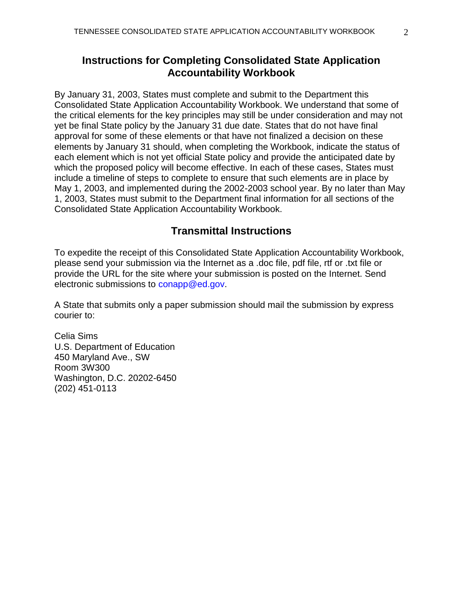# **Instructions for Completing Consolidated State Application Accountability Workbook**

By January 31, 2003, States must complete and submit to the Department this Consolidated State Application Accountability Workbook. We understand that some of the critical elements for the key principles may still be under consideration and may not yet be final State policy by the January 31 due date. States that do not have final approval for some of these elements or that have not finalized a decision on these elements by January 31 should, when completing the Workbook, indicate the status of each element which is not yet official State policy and provide the anticipated date by which the proposed policy will become effective. In each of these cases, States must include a timeline of steps to complete to ensure that such elements are in place by May 1, 2003, and implemented during the 2002-2003 school year. By no later than May 1, 2003, States must submit to the Department final information for all sections of the Consolidated State Application Accountability Workbook.

# **Transmittal Instructions**

To expedite the receipt of this Consolidated State Application Accountability Workbook, please send your submission via the Internet as a .doc file, pdf file, rtf or .txt file or provide the URL for the site where your submission is posted on the Internet. Send electronic submissions to conapp@ed.gov.

A State that submits only a paper submission should mail the submission by express courier to:

Celia Sims U.S. Department of Education 450 Maryland Ave., SW Room 3W300 Washington, D.C. 20202-6450 (202) 451-0113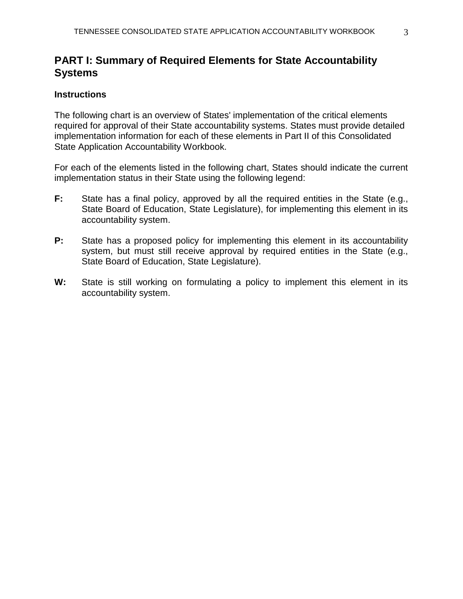# **PART I: Summary of Required Elements for State Accountability Systems**

## **Instructions**

The following chart is an overview of States' implementation of the critical elements required for approval of their State accountability systems. States must provide detailed implementation information for each of these elements in Part II of this Consolidated State Application Accountability Workbook.

For each of the elements listed in the following chart, States should indicate the current implementation status in their State using the following legend:

- **F:** State has a final policy, approved by all the required entities in the State (e.g., State Board of Education, State Legislature), for implementing this element in its accountability system.
- **P:** State has a proposed policy for implementing this element in its accountability system, but must still receive approval by required entities in the State (e.g., State Board of Education, State Legislature).
- **W:** State is still working on formulating a policy to implement this element in its accountability system.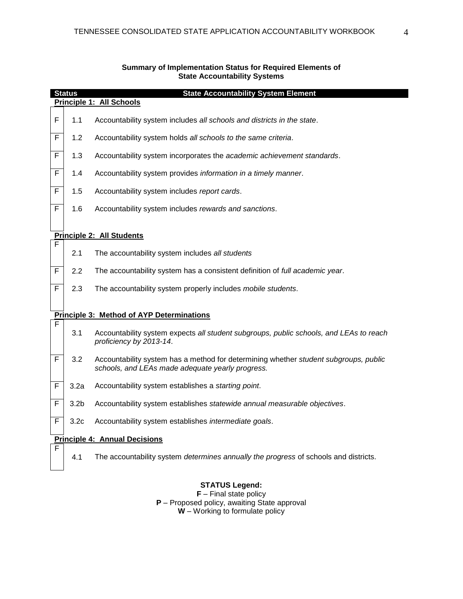|   | <b>State Accountability System Element</b><br><b>Status</b> |                                                                                                                                          |  |  |  |
|---|-------------------------------------------------------------|------------------------------------------------------------------------------------------------------------------------------------------|--|--|--|
|   |                                                             | Principle 1: All Schools                                                                                                                 |  |  |  |
| F | 1.1                                                         | Accountability system includes all schools and districts in the state.                                                                   |  |  |  |
| F | 1.2                                                         | Accountability system holds all schools to the same criteria.                                                                            |  |  |  |
| F | 1.3                                                         | Accountability system incorporates the academic achievement standards.                                                                   |  |  |  |
| F | 1.4                                                         | Accountability system provides information in a timely manner.                                                                           |  |  |  |
| F | 1.5                                                         | Accountability system includes report cards.                                                                                             |  |  |  |
| F | 1.6                                                         | Accountability system includes rewards and sanctions.                                                                                    |  |  |  |
|   |                                                             |                                                                                                                                          |  |  |  |
| F |                                                             | <b>Principle 2: All Students</b>                                                                                                         |  |  |  |
|   | 2.1                                                         | The accountability system includes all students                                                                                          |  |  |  |
| F | 2.2                                                         | The accountability system has a consistent definition of full academic year.                                                             |  |  |  |
| F | 2.3                                                         | The accountability system properly includes mobile students.                                                                             |  |  |  |
|   |                                                             | <b>Principle 3: Method of AYP Determinations</b>                                                                                         |  |  |  |
| F | 3.1                                                         | Accountability system expects all student subgroups, public schools, and LEAs to reach<br>proficiency by 2013-14.                        |  |  |  |
| F | 3.2                                                         | Accountability system has a method for determining whether student subgroups, public<br>schools, and LEAs made adequate yearly progress. |  |  |  |
| F | 3.2a                                                        | Accountability system establishes a starting point.                                                                                      |  |  |  |
| F | 3.2 <sub>b</sub>                                            | Accountability system establishes statewide annual measurable objectives.                                                                |  |  |  |
| F | 3.2 <sub>c</sub>                                            | Accountability system establishes intermediate goals.                                                                                    |  |  |  |

#### **Summary of Implementation Status for Required Elements of State Accountability Systems**

#### **Principle 4: Annual Decisions**

F

4.1 The accountability system *determines annually the progress* of schools and districts.

# **STATUS Legend:**

**F** – Final state policy **P** – Proposed policy, awaiting State approval **W** – Working to formulate policy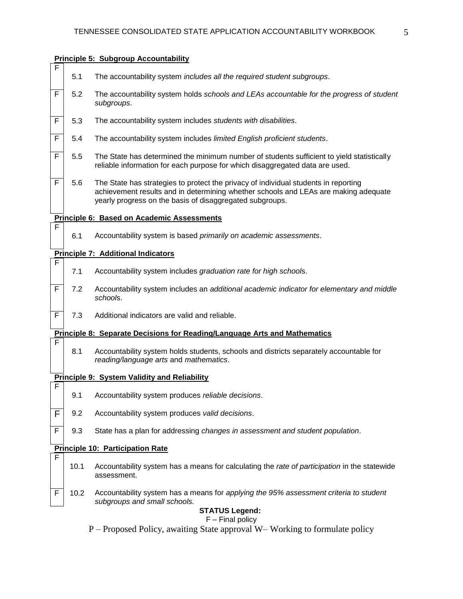#### **Principle 5: Subgroup Accountability**



- F 5.2 The accountability system holds *schools and LEAs accountable for the progress of student subgroups*.
- F 5.3 The accountability system includes *students with disabilities*.
- F 5.4 The accountability system includes *limited English proficient students*.
- $F \mid 5.5$  The State has determined the minimum number of students sufficient to yield statistically reliable information for each purpose for which disaggregated data are used.
- $\overline{F}$  5.6 The State has strategies to protect the privacy of individual students in reporting achievement results and in determining whether schools and LEAs are making adequate yearly progress on the basis of disaggregated subgroups.

#### **Principle 6: Based on Academic Assessments**

6.1 Accountability system is based *primarily on academic assessments*.

#### **Principle 7: Additional Indicators**

F

F

F

 $\overline{\mathsf{F}}$ 

F

- 7.1 Accountability system includes *graduation rate for high school*s.
- F 7.2 Accountability system includes an *additional academic indicator for elementary and middle school*s.
- $F \mid 7.3$  Additional indicators are valid and reliable.

#### **Principle 8: Separate Decisions for Reading/Language Arts and Mathematics**

8.1 Accountability system holds students, schools and districts separately accountable for *reading/language arts* and *mathematics*.

#### **Principle 9: System Validity and Reliability**

- 9.1 Accountability system produces *reliable decisions*.
- F 9.2 Accountability system produces *valid decisions*.
- F 9.3 State has a plan for addressing *changes in assessment and student population*.

#### **Principle 10: Participation Rate**

- 10.1 Accountability system has a means for calculating the *rate of participation* in the statewide assessment.
- F 10.2 Accountability system has a means for *applying the 95% assessment criteria to student subgroups and small schools.*

# **STATUS Legend:**

# F – Final policy

P – Proposed Policy, awaiting State approval W– Working to formulate policy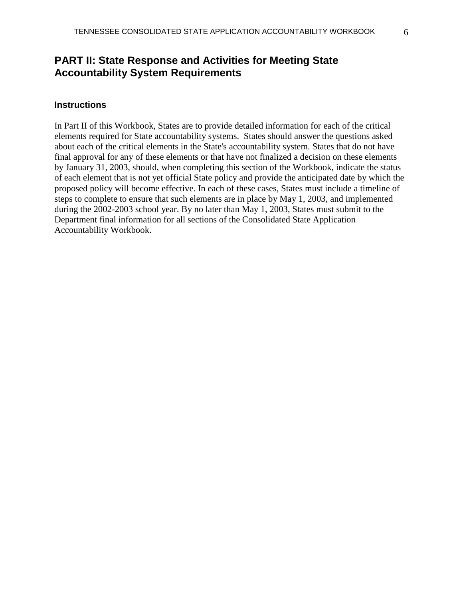# **PART II: State Response and Activities for Meeting State Accountability System Requirements**

### **Instructions**

In Part II of this Workbook, States are to provide detailed information for each of the critical elements required for State accountability systems. States should answer the questions asked about each of the critical elements in the State's accountability system. States that do not have final approval for any of these elements or that have not finalized a decision on these elements by January 31, 2003, should, when completing this section of the Workbook, indicate the status of each element that is not yet official State policy and provide the anticipated date by which the proposed policy will become effective. In each of these cases, States must include a timeline of steps to complete to ensure that such elements are in place by May 1, 2003, and implemented during the 2002-2003 school year. By no later than May 1, 2003, States must submit to the Department final information for all sections of the Consolidated State Application Accountability Workbook.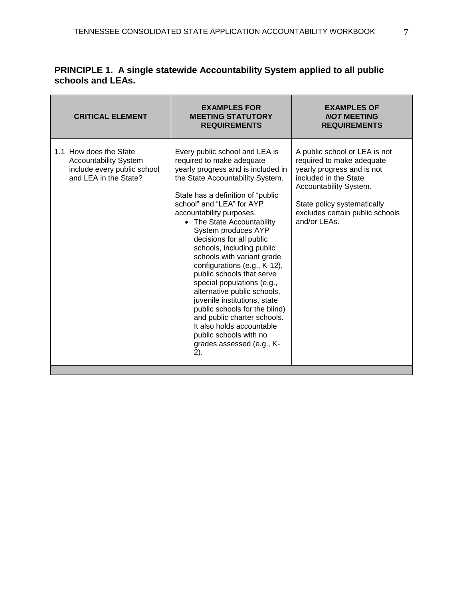| <b>CRITICAL ELEMENT</b>                                                                                        | <b>EXAMPLES FOR</b><br><b>MEETING STATUTORY</b><br><b>REQUIREMENTS</b>                                                                                                                                                                                                                                                                                                                                                                                                                                                                                                                                                                                                                                | <b>EXAMPLES OF</b><br><b>NOT MEETING</b><br><b>REQUIREMENTS</b>                                                                                                                                                               |
|----------------------------------------------------------------------------------------------------------------|-------------------------------------------------------------------------------------------------------------------------------------------------------------------------------------------------------------------------------------------------------------------------------------------------------------------------------------------------------------------------------------------------------------------------------------------------------------------------------------------------------------------------------------------------------------------------------------------------------------------------------------------------------------------------------------------------------|-------------------------------------------------------------------------------------------------------------------------------------------------------------------------------------------------------------------------------|
| 1.1 How does the State<br><b>Accountability System</b><br>include every public school<br>and LEA in the State? | Every public school and LEA is<br>required to make adequate<br>yearly progress and is included in<br>the State Accountability System.<br>State has a definition of "public"<br>school" and "LEA" for AYP<br>accountability purposes.<br>• The State Accountability<br>System produces AYP<br>decisions for all public<br>schools, including public<br>schools with variant grade<br>configurations (e.g., K-12),<br>public schools that serve<br>special populations (e.g.,<br>alternative public schools,<br>juvenile institutions, state<br>public schools for the blind)<br>and public charter schools.<br>It also holds accountable<br>public schools with no<br>grades assessed (e.g., K-<br>2). | A public school or LEA is not<br>required to make adequate<br>yearly progress and is not<br>included in the State<br>Accountability System.<br>State policy systematically<br>excludes certain public schools<br>and/or LEAs. |

# **PRINCIPLE 1. A single statewide Accountability System applied to all public schools and LEAs.**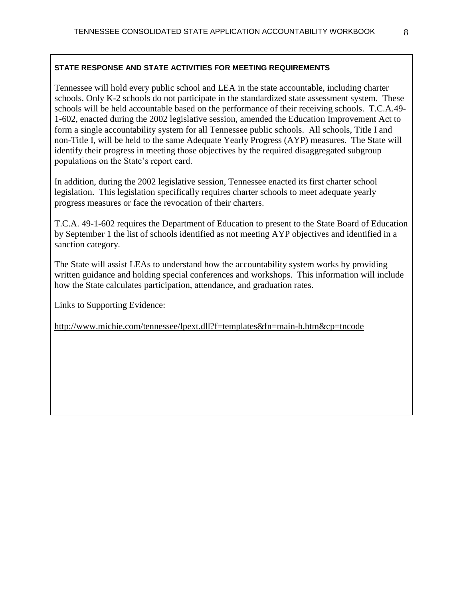Tennessee will hold every public school and LEA in the state accountable, including charter schools. Only K-2 schools do not participate in the standardized state assessment system. These schools will be held accountable based on the performance of their receiving schools. T.C.A.49- 1-602, enacted during the 2002 legislative session, amended the Education Improvement Act to form a single accountability system for all Tennessee public schools. All schools, Title I and non-Title I, will be held to the same Adequate Yearly Progress (AYP) measures. The State will identify their progress in meeting those objectives by the required disaggregated subgroup populations on the State's report card.

In addition, during the 2002 legislative session, Tennessee enacted its first charter school legislation. This legislation specifically requires charter schools to meet adequate yearly progress measures or face the revocation of their charters.

T.C.A. 49-1-602 requires the Department of Education to present to the State Board of Education by September 1 the list of schools identified as not meeting AYP objectives and identified in a sanction category.

The State will assist LEAs to understand how the accountability system works by providing written guidance and holding special conferences and workshops. This information will include how the State calculates participation, attendance, and graduation rates.

Links to Supporting Evidence: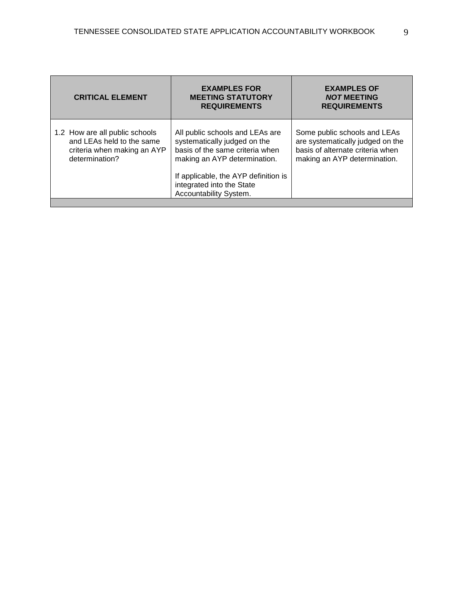| <b>CRITICAL ELEMENT</b>                                                                                      | <b>EXAMPLES FOR</b><br><b>MEETING STATUTORY</b><br><b>REQUIREMENTS</b>                                                             | <b>EXAMPLES OF</b><br><b>NOT MEETING</b><br><b>REQUIREMENTS</b>                                                                      |
|--------------------------------------------------------------------------------------------------------------|------------------------------------------------------------------------------------------------------------------------------------|--------------------------------------------------------------------------------------------------------------------------------------|
| 1.2 How are all public schools<br>and LEAs held to the same<br>criteria when making an AYP<br>determination? | All public schools and LEAs are<br>systematically judged on the<br>basis of the same criteria when<br>making an AYP determination. | Some public schools and LEAs<br>are systematically judged on the<br>basis of alternate criteria when<br>making an AYP determination. |
|                                                                                                              | If applicable, the AYP definition is<br>integrated into the State<br>Accountability System.                                        |                                                                                                                                      |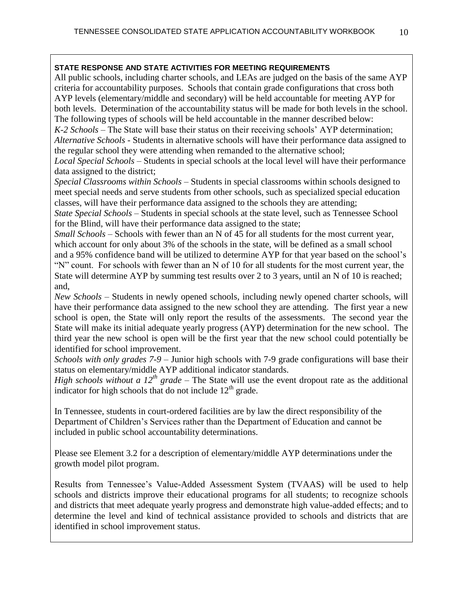All public schools, including charter schools, and LEAs are judged on the basis of the same AYP criteria for accountability purposes. Schools that contain grade configurations that cross both AYP levels (elementary/middle and secondary) will be held accountable for meeting AYP for both levels. Determination of the accountability status will be made for both levels in the school. The following types of schools will be held accountable in the manner described below:

*K-2 Schools –* The State will base their status on their receiving schools' AYP determination; *Alternative Schools* - Students in alternative schools will have their performance data assigned to the regular school they were attending when remanded to the alternative school;

*Local Special Schools* – Students in special schools at the local level will have their performance data assigned to the district;

*Special Classrooms within Schools* – Students in special classrooms within schools designed to meet special needs and serve students from other schools, such as specialized special education classes, will have their performance data assigned to the schools they are attending;

*State Special Schools* – Students in special schools at the state level, such as Tennessee School for the Blind, will have their performance data assigned to the state;

*Small Schools* – Schools with fewer than an N of 45 for all students for the most current year, which account for only about 3% of the schools in the state, will be defined as a small school

and a 95% confidence band will be utilized to determine AYP for that year based on the school's "N" count. For schools with fewer than an N of 10 for all students for the most current year, the State will determine AYP by summing test results over 2 to 3 years, until an N of 10 is reached; and,

*New Schools* – Students in newly opened schools, including newly opened charter schools, will have their performance data assigned to the new school they are attending. The first year a new school is open, the State will only report the results of the assessments. The second year the State will make its initial adequate yearly progress (AYP) determination for the new school. The third year the new school is open will be the first year that the new school could potentially be identified for school improvement.

*Schools with only grades 7-9* – Junior high schools with 7-9 grade configurations will base their status on elementary/middle AYP additional indicator standards.

*High schools without a 12<sup>th</sup> grade* – The State will use the event dropout rate as the additional indicator for high schools that do not include  $12<sup>th</sup>$  grade.

In Tennessee, students in court-ordered facilities are by law the direct responsibility of the Department of Children's Services rather than the Department of Education and cannot be included in public school accountability determinations.

Please see Element 3.2 for a description of elementary/middle AYP determinations under the growth model pilot program.

Results from Tennessee's Value-Added Assessment System (TVAAS) will be used to help schools and districts improve their educational programs for all students; to recognize schools and districts that meet adequate yearly progress and demonstrate high value-added effects; and to determine the level and kind of technical assistance provided to schools and districts that are identified in school improvement status.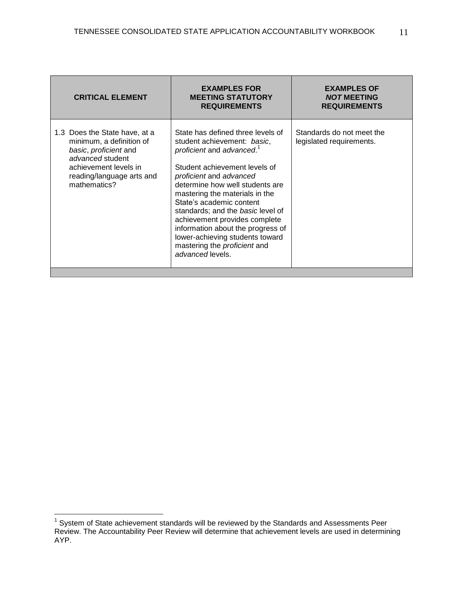| State has defined three levels of<br>Standards do not meet the<br>1.3 Does the State have, at a<br>student achievement: basic,<br>minimum, a definition of<br>legislated requirements.<br>proficient and advanced. <sup>1</sup><br>basic, proficient and<br>advanced student<br>Student achievement levels of<br>achievement levels in<br>reading/language arts and<br>proficient and advanced<br>mathematics?<br>determine how well students are<br>mastering the materials in the<br>State's academic content<br>standards; and the basic level of<br>achievement provides complete<br>information about the progress of<br>lower-achieving students toward<br>mastering the proficient and<br>advanced levels. | <b>CRITICAL ELEMENT</b> | <b>EXAMPLES FOR</b><br><b>MEETING STATUTORY</b><br><b>REQUIREMENTS</b> | <b>EXAMPLES OF</b><br><b>NOT MEETING</b><br><b>REQUIREMENTS</b> |
|-------------------------------------------------------------------------------------------------------------------------------------------------------------------------------------------------------------------------------------------------------------------------------------------------------------------------------------------------------------------------------------------------------------------------------------------------------------------------------------------------------------------------------------------------------------------------------------------------------------------------------------------------------------------------------------------------------------------|-------------------------|------------------------------------------------------------------------|-----------------------------------------------------------------|
|                                                                                                                                                                                                                                                                                                                                                                                                                                                                                                                                                                                                                                                                                                                   |                         |                                                                        |                                                                 |

 1 System of State achievement standards will be reviewed by the Standards and Assessments Peer Review. The Accountability Peer Review will determine that achievement levels are used in determining AYP.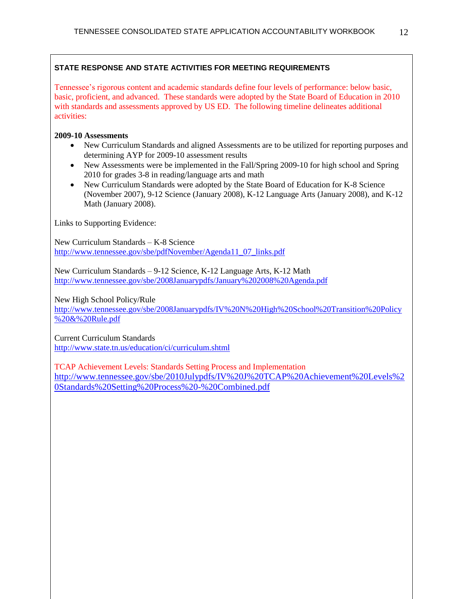Tennessee's rigorous content and academic standards define four levels of performance: below basic, basic, proficient, and advanced. These standards were adopted by the State Board of Education in 2010 with standards and assessments approved by US ED. The following timeline delineates additional activities:

**2009-10 Assessments**

- New Curriculum Standards and aligned Assessments are to be utilized for reporting purposes and determining AYP for 2009-10 assessment results
- New Assessments were be implemented in the Fall/Spring 2009-10 for high school and Spring 2010 for grades 3-8 in reading/language arts and math
- New Curriculum Standards were adopted by the State Board of Education for K-8 Science (November 2007), 9-12 Science (January 2008), K-12 Language Arts (January 2008), and K-12 Math (January 2008).

Links to Supporting Evidence:

New Curriculum Standards – K-8 Science [http://www.tennessee.gov/sbe/pdfNovember/Agenda11\\_07\\_links.pdf](http://www.tennessee.gov/sbe/pdfNovember/Agenda11_07_links.pdf)

New Curriculum Standards – 9-12 Science, K-12 Language Arts, K-12 Math <http://www.tennessee.gov/sbe/2008Januarypdfs/January%202008%20Agenda.pdf>

New High School Policy/Rule

[http://www.tennessee.gov/sbe/2008Januarypdfs/IV%20N%20High%20School%20Transition%20Policy](http://www.tennessee.gov/sbe/2008Januarypdfs/IV%20N%20High%20School%20Transition%20Policy%20&%20Rule.pdf) [%20&%20Rule.pdf](http://www.tennessee.gov/sbe/2008Januarypdfs/IV%20N%20High%20School%20Transition%20Policy%20&%20Rule.pdf)

Current Curriculum Standards <http://www.state.tn.us/education/ci/curriculum.shtml>

TCAP Achievement Levels: Standards Setting Process and Implementation [http://www.tennessee.gov/sbe/2010Julypdfs/IV%20J%20TCAP%20Achievement%20Levels%2](http://www.tennessee.gov/sbe/2010Julypdfs/IV%20J%20TCAP%20Achievement%20Levels%20Standards%20Setting%20Process%20-%20Combined.pdf) [0Standards%20Setting%20Process%20-%20Combined.pdf](http://www.tennessee.gov/sbe/2010Julypdfs/IV%20J%20TCAP%20Achievement%20Levels%20Standards%20Setting%20Process%20-%20Combined.pdf)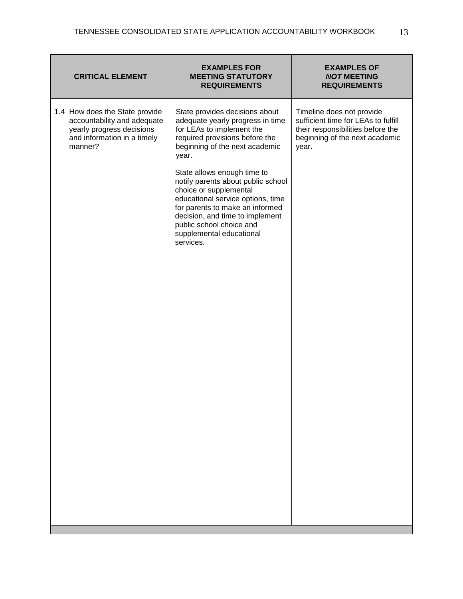| <b>CRITICAL ELEMENT</b>                                                                                                              | <b>EXAMPLES FOR</b><br><b>MEETING STATUTORY</b><br><b>REQUIREMENTS</b>                                                                                                                                                                                                                                                                                                                                                                                      | <b>EXAMPLES OF</b><br><b>NOT MEETING</b><br><b>REQUIREMENTS</b>                                                                                  |
|--------------------------------------------------------------------------------------------------------------------------------------|-------------------------------------------------------------------------------------------------------------------------------------------------------------------------------------------------------------------------------------------------------------------------------------------------------------------------------------------------------------------------------------------------------------------------------------------------------------|--------------------------------------------------------------------------------------------------------------------------------------------------|
| 1.4 How does the State provide<br>accountability and adequate<br>yearly progress decisions<br>and information in a timely<br>manner? | State provides decisions about<br>adequate yearly progress in time<br>for LEAs to implement the<br>required provisions before the<br>beginning of the next academic<br>year.<br>State allows enough time to<br>notify parents about public school<br>choice or supplemental<br>educational service options, time<br>for parents to make an informed<br>decision, and time to implement<br>public school choice and<br>supplemental educational<br>services. | Timeline does not provide<br>sufficient time for LEAs to fulfill<br>their responsibilities before the<br>beginning of the next academic<br>year. |
|                                                                                                                                      |                                                                                                                                                                                                                                                                                                                                                                                                                                                             |                                                                                                                                                  |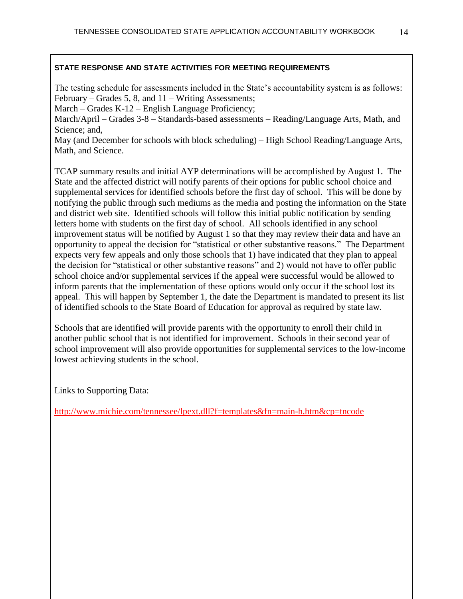The testing schedule for assessments included in the State's accountability system is as follows: February – Grades 5, 8, and 11 – Writing Assessments;

March – Grades K-12 – English Language Proficiency;

March/April – Grades 3-8 – Standards-based assessments – Reading/Language Arts, Math, and Science; and,

May (and December for schools with block scheduling) – High School Reading/Language Arts, Math, and Science.

TCAP summary results and initial AYP determinations will be accomplished by August 1. The State and the affected district will notify parents of their options for public school choice and supplemental services for identified schools before the first day of school. This will be done by notifying the public through such mediums as the media and posting the information on the State and district web site. Identified schools will follow this initial public notification by sending letters home with students on the first day of school. All schools identified in any school improvement status will be notified by August 1 so that they may review their data and have an opportunity to appeal the decision for "statistical or other substantive reasons." The Department expects very few appeals and only those schools that 1) have indicated that they plan to appeal the decision for "statistical or other substantive reasons" and 2) would not have to offer public school choice and/or supplemental services if the appeal were successful would be allowed to inform parents that the implementation of these options would only occur if the school lost its appeal. This will happen by September 1, the date the Department is mandated to present its list of identified schools to the State Board of Education for approval as required by state law.

Schools that are identified will provide parents with the opportunity to enroll their child in another public school that is not identified for improvement. Schools in their second year of school improvement will also provide opportunities for supplemental services to the low-income lowest achieving students in the school.

Links to Supporting Data: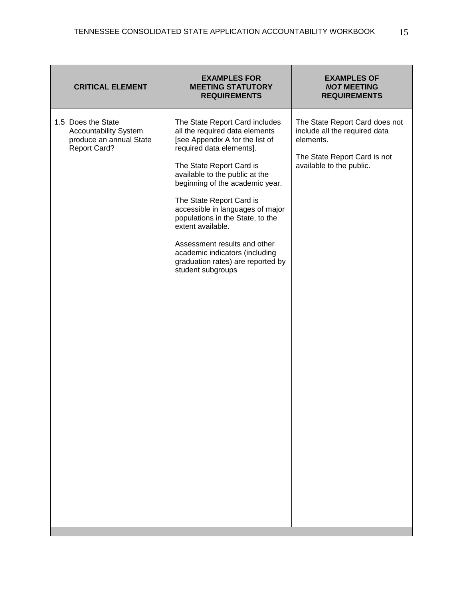| <b>CRITICAL ELEMENT</b>                                                                              | <b>EXAMPLES FOR</b><br><b>MEETING STATUTORY</b><br><b>REQUIREMENTS</b>                                                                                                                                                                                                                                                                                                                                                                                                                | <b>EXAMPLES OF</b><br><b>NOT MEETING</b><br><b>REQUIREMENTS</b>                                                                          |
|------------------------------------------------------------------------------------------------------|---------------------------------------------------------------------------------------------------------------------------------------------------------------------------------------------------------------------------------------------------------------------------------------------------------------------------------------------------------------------------------------------------------------------------------------------------------------------------------------|------------------------------------------------------------------------------------------------------------------------------------------|
| 1.5 Does the State<br><b>Accountability System</b><br>produce an annual State<br><b>Report Card?</b> | The State Report Card includes<br>all the required data elements<br>[see Appendix A for the list of<br>required data elements].<br>The State Report Card is<br>available to the public at the<br>beginning of the academic year.<br>The State Report Card is<br>accessible in languages of major<br>populations in the State, to the<br>extent available.<br>Assessment results and other<br>academic indicators (including<br>graduation rates) are reported by<br>student subgroups | The State Report Card does not<br>include all the required data<br>elements.<br>The State Report Card is not<br>available to the public. |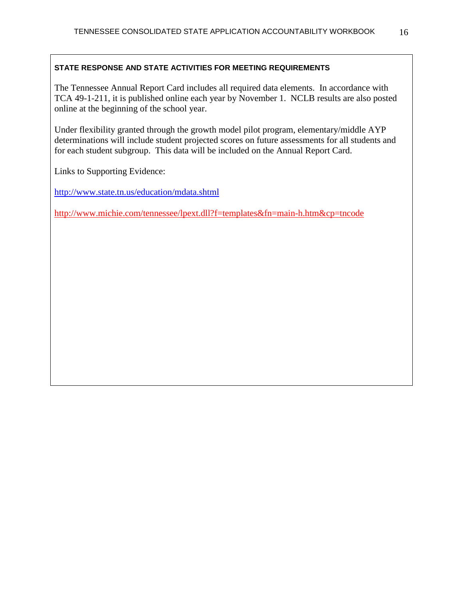The Tennessee Annual Report Card includes all required data elements. In accordance with TCA 49-1-211, it is published online each year by November 1. NCLB results are also posted online at the beginning of the school year.

Under flexibility granted through the growth model pilot program, elementary/middle AYP determinations will include student projected scores on future assessments for all students and for each student subgroup. This data will be included on the Annual Report Card.

Links to Supporting Evidence:

<http://www.state.tn.us/education/mdata.shtml>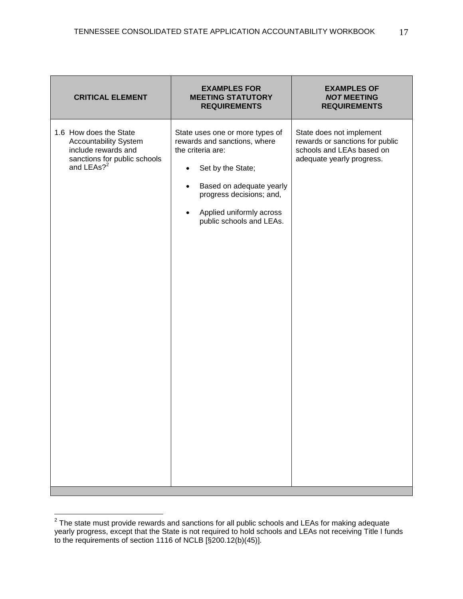| <b>CRITICAL ELEMENT</b>                                                                                                                 | <b>EXAMPLES FOR</b><br><b>MEETING STATUTORY</b><br><b>REQUIREMENTS</b>                                                                                                                                                                                           | <b>EXAMPLES OF</b><br><b>NOT MEETING</b><br><b>REQUIREMENTS</b>                                                       |
|-----------------------------------------------------------------------------------------------------------------------------------------|------------------------------------------------------------------------------------------------------------------------------------------------------------------------------------------------------------------------------------------------------------------|-----------------------------------------------------------------------------------------------------------------------|
| 1.6 How does the State<br><b>Accountability System</b><br>include rewards and<br>sanctions for public schools<br>and LEAs? <sup>2</sup> | State uses one or more types of<br>rewards and sanctions, where<br>the criteria are:<br>Set by the State;<br>$\bullet$<br>Based on adequate yearly<br>$\bullet$<br>progress decisions; and,<br>Applied uniformly across<br>$\bullet$<br>public schools and LEAs. | State does not implement<br>rewards or sanctions for public<br>schools and LEAs based on<br>adequate yearly progress. |

 2 The state must provide rewards and sanctions for all public schools and LEAs for making adequate yearly progress, except that the State is not required to hold schools and LEAs not receiving Title I funds to the requirements of section 1116 of NCLB [§200.12(b)(45)].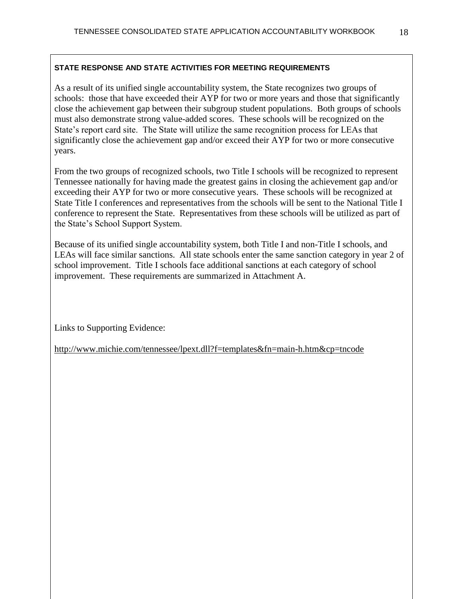As a result of its unified single accountability system, the State recognizes two groups of schools: those that have exceeded their AYP for two or more years and those that significantly close the achievement gap between their subgroup student populations. Both groups of schools must also demonstrate strong value-added scores. These schools will be recognized on the State's report card site. The State will utilize the same recognition process for LEAs that significantly close the achievement gap and/or exceed their AYP for two or more consecutive years.

From the two groups of recognized schools, two Title I schools will be recognized to represent Tennessee nationally for having made the greatest gains in closing the achievement gap and/or exceeding their AYP for two or more consecutive years. These schools will be recognized at State Title I conferences and representatives from the schools will be sent to the National Title I conference to represent the State. Representatives from these schools will be utilized as part of the State's School Support System.

Because of its unified single accountability system, both Title I and non-Title I schools, and LEAs will face similar sanctions. All state schools enter the same sanction category in year 2 of school improvement. Title I schools face additional sanctions at each category of school improvement. These requirements are summarized in Attachment A.

Links to Supporting Evidence: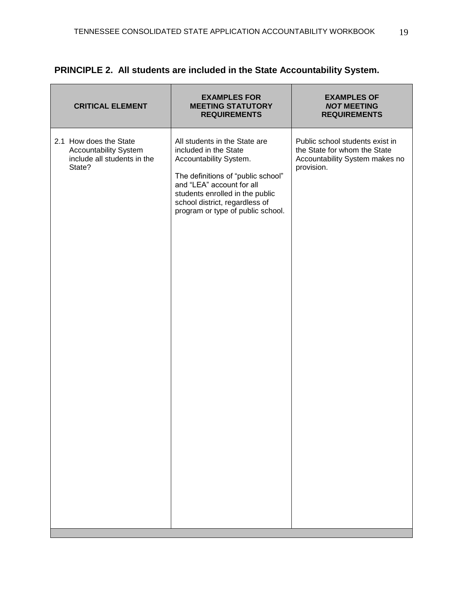| <b>CRITICAL ELEMENT</b>                                                                         | <b>EXAMPLES FOR</b><br><b>MEETING STATUTORY</b><br><b>REQUIREMENTS</b>                                                                                                                                                                                        | <b>EXAMPLES OF</b><br><b>NOT MEETING</b><br><b>REQUIREMENTS</b>                                                 |
|-------------------------------------------------------------------------------------------------|---------------------------------------------------------------------------------------------------------------------------------------------------------------------------------------------------------------------------------------------------------------|-----------------------------------------------------------------------------------------------------------------|
| 2.1 How does the State<br><b>Accountability System</b><br>include all students in the<br>State? | All students in the State are<br>included in the State<br>Accountability System.<br>The definitions of "public school"<br>and "LEA" account for all<br>students enrolled in the public<br>school district, regardless of<br>program or type of public school. | Public school students exist in<br>the State for whom the State<br>Accountability System makes no<br>provision. |

# **PRINCIPLE 2. All students are included in the State Accountability System.**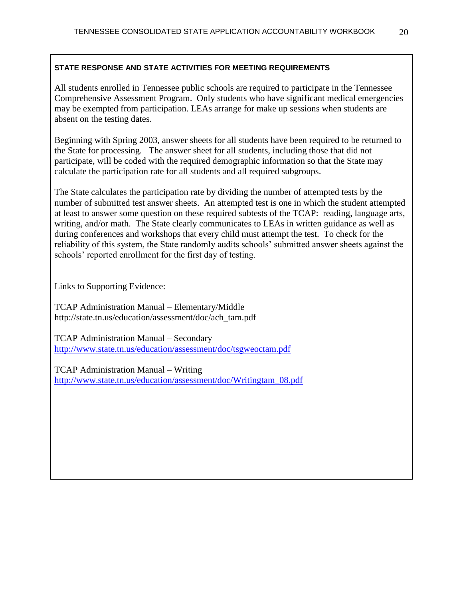All students enrolled in Tennessee public schools are required to participate in the Tennessee Comprehensive Assessment Program. Only students who have significant medical emergencies may be exempted from participation. LEAs arrange for make up sessions when students are absent on the testing dates.

Beginning with Spring 2003, answer sheets for all students have been required to be returned to the State for processing. The answer sheet for all students, including those that did not participate, will be coded with the required demographic information so that the State may calculate the participation rate for all students and all required subgroups.

The State calculates the participation rate by dividing the number of attempted tests by the number of submitted test answer sheets. An attempted test is one in which the student attempted at least to answer some question on these required subtests of the TCAP: reading, language arts, writing, and/or math. The State clearly communicates to LEAs in written guidance as well as during conferences and workshops that every child must attempt the test. To check for the reliability of this system, the State randomly audits schools' submitted answer sheets against the schools' reported enrollment for the first day of testing.

Links to Supporting Evidence:

TCAP Administration Manual – Elementary/Middle http://state.tn.us/education/assessment/doc/ach\_tam.pdf

TCAP Administration Manual – Secondary <http://www.state.tn.us/education/assessment/doc/tsgweoctam.pdf>

TCAP Administration Manual – Writing [http://www.state.tn.us/education/assessment/doc/Writingtam\\_08.pdf](http://www.state.tn.us/education/assessment/doc/Writingtam_08.pdf)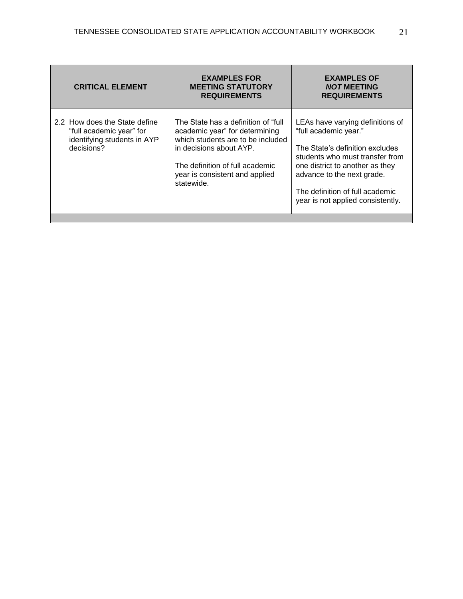| <b>CRITICAL ELEMENT</b>                                                                                | <b>EXAMPLES FOR</b><br><b>MEETING STATUTORY</b><br><b>REQUIREMENTS</b>                                                                                                                                                    | <b>EXAMPLES OF</b><br><b>NOT MEETING</b><br><b>REQUIREMENTS</b>                                                                                                                                                                                                          |
|--------------------------------------------------------------------------------------------------------|---------------------------------------------------------------------------------------------------------------------------------------------------------------------------------------------------------------------------|--------------------------------------------------------------------------------------------------------------------------------------------------------------------------------------------------------------------------------------------------------------------------|
| 2.2 How does the State define<br>"full academic year" for<br>identifying students in AYP<br>decisions? | The State has a definition of "full"<br>academic year" for determining<br>which students are to be included<br>in decisions about AYP.<br>The definition of full academic<br>year is consistent and applied<br>statewide. | LEAs have varying definitions of<br>"full academic year."<br>The State's definition excludes<br>students who must transfer from<br>one district to another as they<br>advance to the next grade.<br>The definition of full academic<br>year is not applied consistently. |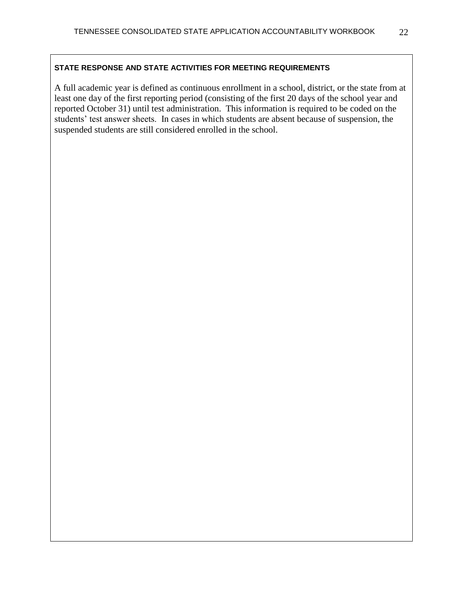A full academic year is defined as continuous enrollment in a school, district, or the state from at least one day of the first reporting period (consisting of the first 20 days of the school year and reported October 31) until test administration. This information is required to be coded on the students' test answer sheets. In cases in which students are absent because of suspension, the suspended students are still considered enrolled in the school.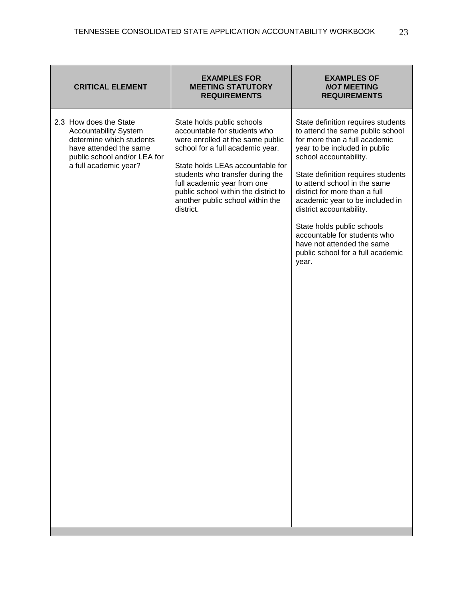| <b>CRITICAL ELEMENT</b>                                                                                                                                               | <b>EXAMPLES FOR</b><br><b>MEETING STATUTORY</b><br><b>REQUIREMENTS</b>                                                                                                                                                                                                                                                             | <b>EXAMPLES OF</b><br><b>NOT MEETING</b><br><b>REQUIREMENTS</b>                                                                                                                                                                                                                                                                                                                                                                                                                    |
|-----------------------------------------------------------------------------------------------------------------------------------------------------------------------|------------------------------------------------------------------------------------------------------------------------------------------------------------------------------------------------------------------------------------------------------------------------------------------------------------------------------------|------------------------------------------------------------------------------------------------------------------------------------------------------------------------------------------------------------------------------------------------------------------------------------------------------------------------------------------------------------------------------------------------------------------------------------------------------------------------------------|
| 2.3 How does the State<br><b>Accountability System</b><br>determine which students<br>have attended the same<br>public school and/or LEA for<br>a full academic year? | State holds public schools<br>accountable for students who<br>were enrolled at the same public<br>school for a full academic year.<br>State holds LEAs accountable for<br>students who transfer during the<br>full academic year from one<br>public school within the district to<br>another public school within the<br>district. | State definition requires students<br>to attend the same public school<br>for more than a full academic<br>year to be included in public<br>school accountability.<br>State definition requires students<br>to attend school in the same<br>district for more than a full<br>academic year to be included in<br>district accountability.<br>State holds public schools<br>accountable for students who<br>have not attended the same<br>public school for a full academic<br>year. |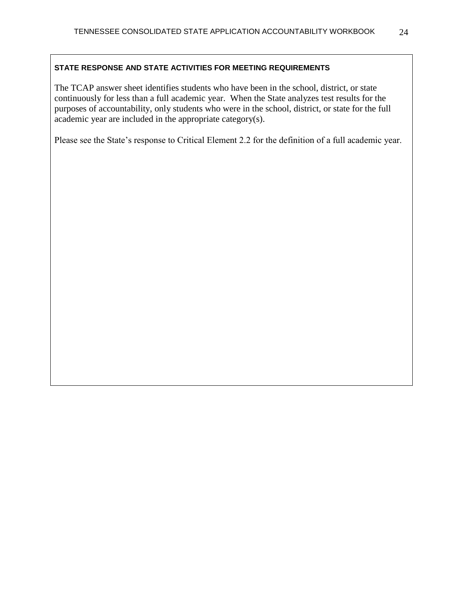The TCAP answer sheet identifies students who have been in the school, district, or state continuously for less than a full academic year. When the State analyzes test results for the purposes of accountability, only students who were in the school, district, or state for the full academic year are included in the appropriate category(s).

Please see the State's response to Critical Element 2.2 for the definition of a full academic year.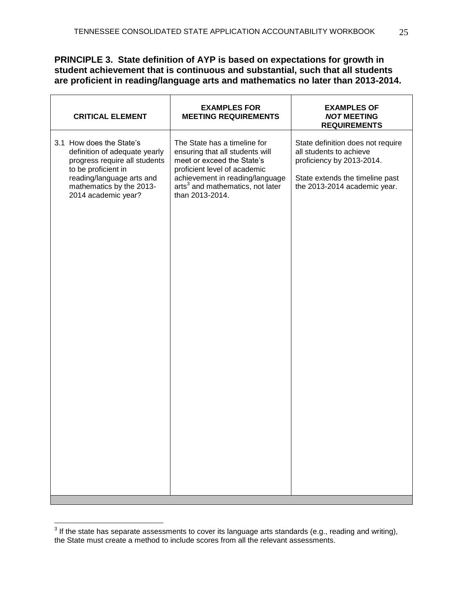## **PRINCIPLE 3. State definition of AYP is based on expectations for growth in student achievement that is continuous and substantial, such that all students are proficient in reading/language arts and mathematics no later than 2013-2014.**

| <b>CRITICAL ELEMENT</b>                                                                                                                                                                           | <b>EXAMPLES FOR</b><br><b>MEETING REQUIREMENTS</b>                                                                                                                                                                                  | <b>EXAMPLES OF</b><br><b>NOT MEETING</b><br><b>REQUIREMENTS</b>                                                                                              |
|---------------------------------------------------------------------------------------------------------------------------------------------------------------------------------------------------|-------------------------------------------------------------------------------------------------------------------------------------------------------------------------------------------------------------------------------------|--------------------------------------------------------------------------------------------------------------------------------------------------------------|
| 3.1 How does the State's<br>definition of adequate yearly<br>progress require all students<br>to be proficient in<br>reading/language arts and<br>mathematics by the 2013-<br>2014 academic year? | The State has a timeline for<br>ensuring that all students will<br>meet or exceed the State's<br>proficient level of academic<br>achievement in reading/language<br>arts <sup>3</sup> and mathematics, not later<br>than 2013-2014. | State definition does not require<br>all students to achieve<br>proficiency by 2013-2014.<br>State extends the timeline past<br>the 2013-2014 academic year. |
|                                                                                                                                                                                                   |                                                                                                                                                                                                                                     |                                                                                                                                                              |

 3 If the state has separate assessments to cover its language arts standards (e.g., reading and writing), the State must create a method to include scores from all the relevant assessments.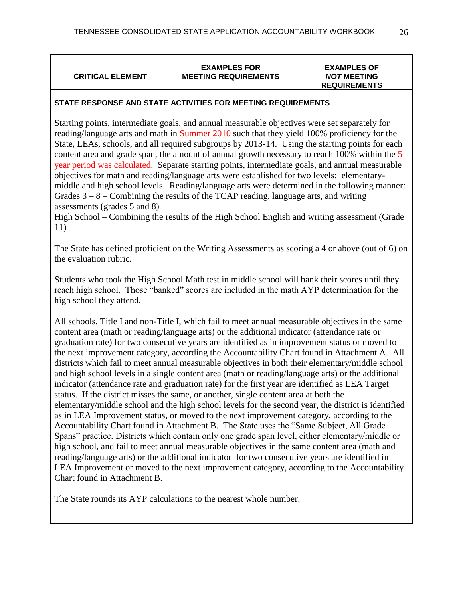### **CRITICAL ELEMENT**

**EXAMPLES FOR MEETING REQUIREMENTS**

#### **EXAMPLES OF** *NOT* **MEETING REQUIREMENTS**

### **STATE RESPONSE AND STATE ACTIVITIES FOR MEETING REQUIREMENTS**

Starting points, intermediate goals, and annual measurable objectives were set separately for reading/language arts and math in Summer 2010 such that they yield 100% proficiency for the State, LEAs, schools, and all required subgroups by 2013-14. Using the starting points for each content area and grade span, the amount of annual growth necessary to reach 100% within the 5 year period was calculated. Separate starting points, intermediate goals, and annual measurable objectives for math and reading/language arts were established for two levels: elementarymiddle and high school levels. Reading/language arts were determined in the following manner: Grades  $3 - 8 -$  Combining the results of the TCAP reading, language arts, and writing assessments (grades 5 and 8)

High School – Combining the results of the High School English and writing assessment (Grade 11)

The State has defined proficient on the Writing Assessments as scoring a 4 or above (out of 6) on the evaluation rubric.

Students who took the High School Math test in middle school will bank their scores until they reach high school. Those "banked" scores are included in the math AYP determination for the high school they attend.

All schools, Title I and non-Title I, which fail to meet annual measurable objectives in the same content area (math or reading/language arts) or the additional indicator (attendance rate or graduation rate) for two consecutive years are identified as in improvement status or moved to the next improvement category, according the Accountability Chart found in Attachment A. All districts which fail to meet annual measurable objectives in both their elementary/middle school and high school levels in a single content area (math or reading/language arts) or the additional indicator (attendance rate and graduation rate) for the first year are identified as LEA Target status. If the district misses the same, or another, single content area at both the elementary/middle school and the high school levels for the second year, the district is identified as in LEA Improvement status, or moved to the next improvement category, according to the Accountability Chart found in Attachment B. The State uses the "Same Subject, All Grade Spans" practice. Districts which contain only one grade span level, either elementary/middle or high school, and fail to meet annual measurable objectives in the same content area (math and reading/language arts) or the additional indicator for two consecutive years are identified in LEA Improvement or moved to the next improvement category, according to the Accountability Chart found in Attachment B.

The State rounds its AYP calculations to the nearest whole number.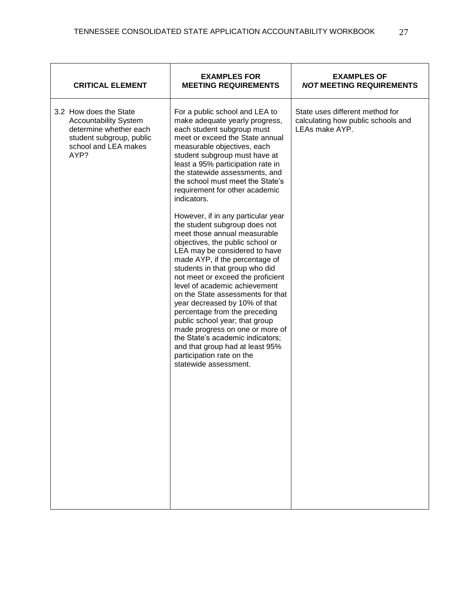| <b>CRITICAL ELEMENT</b>                                                                                                                      | <b>EXAMPLES FOR</b><br><b>MEETING REQUIREMENTS</b>                                                                                                                                                                                                                                                                                                                                                                                                                                                                                                                                                                                                                                                                                                                                                                                                                                                                                                                                           | <b>EXAMPLES OF</b><br><b>NOT MEETING REQUIREMENTS</b>                                   |
|----------------------------------------------------------------------------------------------------------------------------------------------|----------------------------------------------------------------------------------------------------------------------------------------------------------------------------------------------------------------------------------------------------------------------------------------------------------------------------------------------------------------------------------------------------------------------------------------------------------------------------------------------------------------------------------------------------------------------------------------------------------------------------------------------------------------------------------------------------------------------------------------------------------------------------------------------------------------------------------------------------------------------------------------------------------------------------------------------------------------------------------------------|-----------------------------------------------------------------------------------------|
| 3.2 How does the State<br><b>Accountability System</b><br>determine whether each<br>student subgroup, public<br>school and LEA makes<br>AYP? | For a public school and LEA to<br>make adequate yearly progress,<br>each student subgroup must<br>meet or exceed the State annual<br>measurable objectives, each<br>student subgroup must have at<br>least a 95% participation rate in<br>the statewide assessments, and<br>the school must meet the State's<br>requirement for other academic<br>indicators.<br>However, if in any particular year<br>the student subgroup does not<br>meet those annual measurable<br>objectives, the public school or<br>LEA may be considered to have<br>made AYP, if the percentage of<br>students in that group who did<br>not meet or exceed the proficient<br>level of academic achievement<br>on the State assessments for that<br>year decreased by 10% of that<br>percentage from the preceding<br>public school year; that group<br>made progress on one or more of<br>the State's academic indicators;<br>and that group had at least 95%<br>participation rate on the<br>statewide assessment. | State uses different method for<br>calculating how public schools and<br>LEAs make AYP. |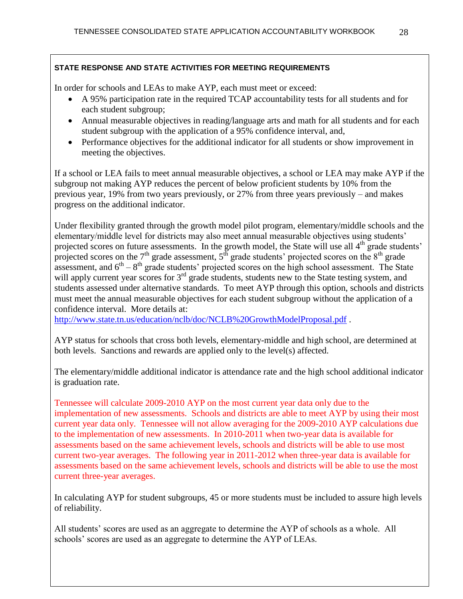In order for schools and LEAs to make AYP, each must meet or exceed:

- A 95% participation rate in the required TCAP accountability tests for all students and for each student subgroup;
- Annual measurable objectives in reading/language arts and math for all students and for each student subgroup with the application of a 95% confidence interval, and,
- Performance objectives for the additional indicator for all students or show improvement in meeting the objectives.

If a school or LEA fails to meet annual measurable objectives, a school or LEA may make AYP if the subgroup not making AYP reduces the percent of below proficient students by 10% from the previous year, 19% from two years previously, or 27% from three years previously – and makes progress on the additional indicator.

Under flexibility granted through the growth model pilot program, elementary/middle schools and the elementary/middle level for districts may also meet annual measurable objectives using students' projected scores on future assessments. In the growth model, the State will use all  $4<sup>th</sup>$  grade students' projected scores on the  $7<sup>th</sup>$  grade assessment,  $5<sup>th</sup>$  grade students' projected scores on the  $8<sup>th</sup>$  grade assessment, and  $6<sup>th</sup> - 8<sup>th</sup>$  grade students' projected scores on the high school assessment. The State will apply current year scores for 3<sup>rd</sup> grade students, students new to the State testing system, and students assessed under alternative standards. To meet AYP through this option, schools and districts must meet the annual measurable objectives for each student subgroup without the application of a confidence interval. More details at:

<http://www.state.tn.us/education/nclb/doc/NCLB%20GrowthModelProposal.pdf> .

AYP status for schools that cross both levels, elementary-middle and high school, are determined at both levels. Sanctions and rewards are applied only to the level(s) affected.

The elementary/middle additional indicator is attendance rate and the high school additional indicator is graduation rate.

Tennessee will calculate 2009-2010 AYP on the most current year data only due to the implementation of new assessments. Schools and districts are able to meet AYP by using their most current year data only. Tennessee will not allow averaging for the 2009-2010 AYP calculations due to the implementation of new assessments. In 2010-2011 when two-year data is available for assessments based on the same achievement levels, schools and districts will be able to use most current two-year averages. The following year in 2011-2012 when three-year data is available for assessments based on the same achievement levels, schools and districts will be able to use the most current three-year averages.

In calculating AYP for student subgroups, 45 or more students must be included to assure high levels of reliability.

All students' scores are used as an aggregate to determine the AYP of schools as a whole. All schools' scores are used as an aggregate to determine the AYP of LEAs.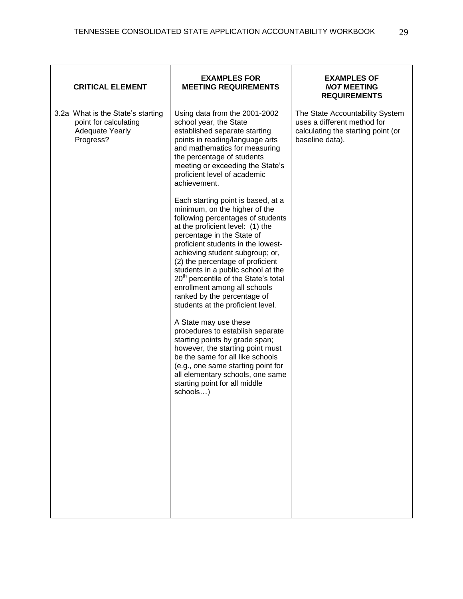| <b>CRITICAL ELEMENT</b>                                                                           | <b>EXAMPLES FOR</b><br><b>MEETING REQUIREMENTS</b>                                                                                                                                                                                                                                                                                                                                                                                                                                                                                                                                                                                                                                                                                                                                                                                                                                                                                                                                                                                                                    | <b>EXAMPLES OF</b><br><b>NOT MEETING</b><br><b>REQUIREMENTS</b>                                                         |
|---------------------------------------------------------------------------------------------------|-----------------------------------------------------------------------------------------------------------------------------------------------------------------------------------------------------------------------------------------------------------------------------------------------------------------------------------------------------------------------------------------------------------------------------------------------------------------------------------------------------------------------------------------------------------------------------------------------------------------------------------------------------------------------------------------------------------------------------------------------------------------------------------------------------------------------------------------------------------------------------------------------------------------------------------------------------------------------------------------------------------------------------------------------------------------------|-------------------------------------------------------------------------------------------------------------------------|
| 3.2a What is the State's starting<br>point for calculating<br><b>Adequate Yearly</b><br>Progress? | Using data from the 2001-2002<br>school year, the State<br>established separate starting<br>points in reading/language arts<br>and mathematics for measuring<br>the percentage of students<br>meeting or exceeding the State's<br>proficient level of academic<br>achievement.<br>Each starting point is based, at a<br>minimum, on the higher of the<br>following percentages of students<br>at the proficient level: (1) the<br>percentage in the State of<br>proficient students in the lowest-<br>achieving student subgroup; or,<br>(2) the percentage of proficient<br>students in a public school at the<br>20 <sup>th</sup> percentile of the State's total<br>enrollment among all schools<br>ranked by the percentage of<br>students at the proficient level.<br>A State may use these<br>procedures to establish separate<br>starting points by grade span;<br>however, the starting point must<br>be the same for all like schools<br>(e.g., one same starting point for<br>all elementary schools, one same<br>starting point for all middle<br>schools) | The State Accountability System<br>uses a different method for<br>calculating the starting point (or<br>baseline data). |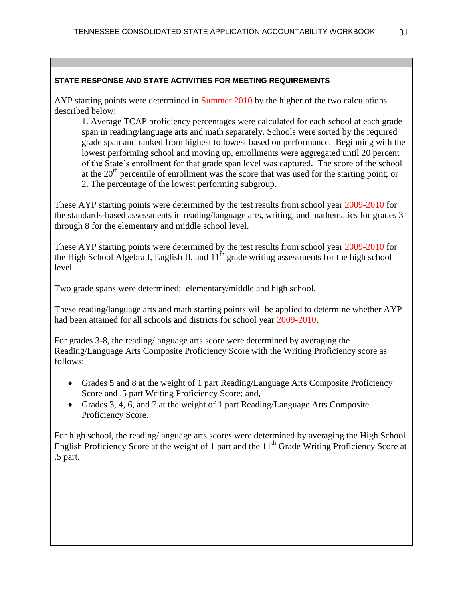AYP starting points were determined in Summer 2010 by the higher of the two calculations described below:

1. Average TCAP proficiency percentages were calculated for each school at each grade span in reading/language arts and math separately. Schools were sorted by the required grade span and ranked from highest to lowest based on performance. Beginning with the lowest performing school and moving up, enrollments were aggregated until 20 percent of the State's enrollment for that grade span level was captured. The score of the school at the  $20<sup>th</sup>$  percentile of enrollment was the score that was used for the starting point; or 2. The percentage of the lowest performing subgroup.

These AYP starting points were determined by the test results from school year 2009-2010 for the standards-based assessments in reading/language arts, writing, and mathematics for grades 3 through 8 for the elementary and middle school level.

These AYP starting points were determined by the test results from school year 2009-2010 for the High School Algebra I, English II, and  $11<sup>th</sup>$  grade writing assessments for the high school level.

Two grade spans were determined: elementary/middle and high school.

These reading/language arts and math starting points will be applied to determine whether AYP had been attained for all schools and districts for school year 2009-2010.

For grades 3-8, the reading/language arts score were determined by averaging the Reading/Language Arts Composite Proficiency Score with the Writing Proficiency score as follows:

- Grades 5 and 8 at the weight of 1 part Reading/Language Arts Composite Proficiency Score and .5 part Writing Proficiency Score; and,
- Grades 3, 4, 6, and 7 at the weight of 1 part Reading/Language Arts Composite Proficiency Score.

For high school, the reading/language arts scores were determined by averaging the High School English Proficiency Score at the weight of 1 part and the  $11<sup>th</sup>$  Grade Writing Proficiency Score at .5 part.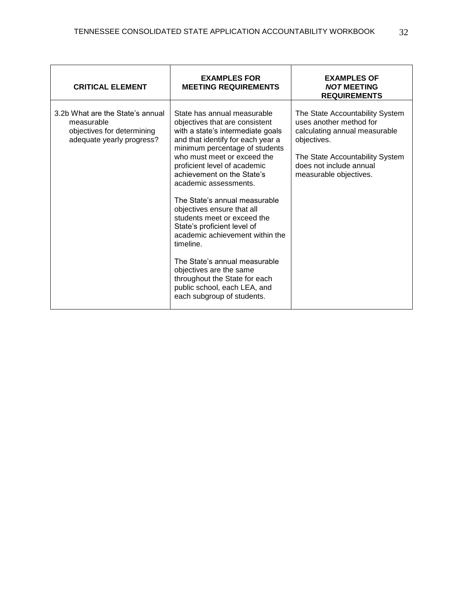| <b>CRITICAL ELEMENT</b>                                                                                   | <b>EXAMPLES FOR</b><br><b>MEETING REQUIREMENTS</b>                                                                                                                                                                                                                                                                                                                                                                                                                                                                                                                                                                                      | <b>EXAMPLES OF</b><br><b>NOT MEETING</b><br><b>REQUIREMENTS</b>                                                                                                                                    |
|-----------------------------------------------------------------------------------------------------------|-----------------------------------------------------------------------------------------------------------------------------------------------------------------------------------------------------------------------------------------------------------------------------------------------------------------------------------------------------------------------------------------------------------------------------------------------------------------------------------------------------------------------------------------------------------------------------------------------------------------------------------------|----------------------------------------------------------------------------------------------------------------------------------------------------------------------------------------------------|
| 3.2b What are the State's annual<br>measurable<br>objectives for determining<br>adequate yearly progress? | State has annual measurable<br>objectives that are consistent<br>with a state's intermediate goals<br>and that identify for each year a<br>minimum percentage of students<br>who must meet or exceed the<br>proficient level of academic<br>achievement on the State's<br>academic assessments.<br>The State's annual measurable<br>objectives ensure that all<br>students meet or exceed the<br>State's proficient level of<br>academic achievement within the<br>timeline.<br>The State's annual measurable<br>objectives are the same<br>throughout the State for each<br>public school, each LEA, and<br>each subgroup of students. | The State Accountability System<br>uses another method for<br>calculating annual measurable<br>objectives.<br>The State Accountability System<br>does not include annual<br>measurable objectives. |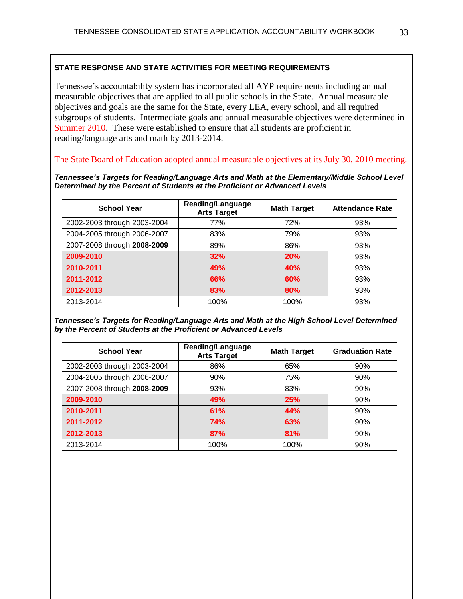Tennessee's accountability system has incorporated all AYP requirements including annual measurable objectives that are applied to all public schools in the State. Annual measurable objectives and goals are the same for the State, every LEA, every school, and all required subgroups of students. Intermediate goals and annual measurable objectives were determined in Summer 2010. These were established to ensure that all students are proficient in reading/language arts and math by 2013-2014.

The State Board of Education adopted annual measurable objectives at its July 30, 2010 meeting.

*Tennessee's Targets for Reading/Language Arts and Math at the Elementary/Middle School Level Determined by the Percent of Students at the Proficient or Advanced Levels*

| <b>School Year</b>          | Reading/Language<br><b>Arts Target</b> | <b>Math Target</b> | <b>Attendance Rate</b> |
|-----------------------------|----------------------------------------|--------------------|------------------------|
| 2002-2003 through 2003-2004 | 77%                                    | 72%                | 93%                    |
| 2004-2005 through 2006-2007 | 83%                                    | 79%                | 93%                    |
| 2007-2008 through 2008-2009 | 89%                                    | 86%                | 93%                    |
| 2009-2010                   | 32%                                    | 20%                | 93%                    |
| 2010-2011                   | 49%                                    | <b>40%</b>         | 93%                    |
| 2011-2012                   | 66%                                    | 60%                | 93%                    |
| 2012-2013                   | 83%                                    | 80%                | 93%                    |
| 2013-2014                   | 100%                                   | 100%               | 93%                    |

*Tennessee's Targets for Reading/Language Arts and Math at the High School Level Determined by the Percent of Students at the Proficient or Advanced Levels* 

| <b>School Year</b>          | Reading/Language<br><b>Arts Target</b> | <b>Math Target</b> | <b>Graduation Rate</b> |
|-----------------------------|----------------------------------------|--------------------|------------------------|
| 2002-2003 through 2003-2004 | 86%                                    | 65%                | 90%                    |
| 2004-2005 through 2006-2007 | 90%                                    | 75%                | 90%                    |
| 2007-2008 through 2008-2009 | 93%                                    | 83%                | 90%                    |
| 2009-2010                   | 49%                                    | 25%                | 90%                    |
| 2010-2011                   | 61%                                    | <b>44%</b>         | 90%                    |
| 2011-2012                   | <b>74%</b>                             | 63%                | 90%                    |
| 2012-2013                   | 87%                                    | 81%                | 90%                    |
| 2013-2014                   | 100%                                   | 100%               | 90%                    |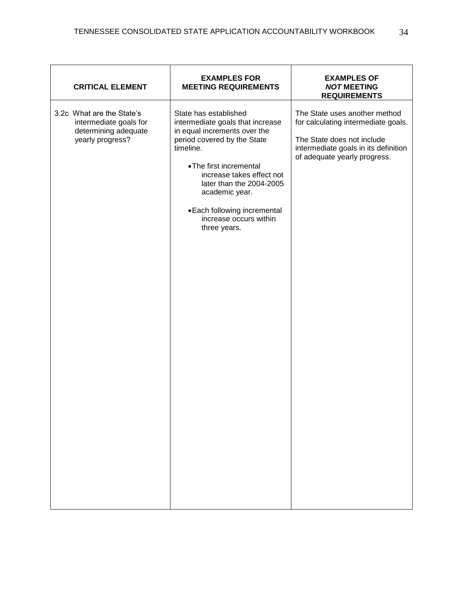| <b>CRITICAL ELEMENT</b>                                                                         | <b>EXAMPLES FOR</b><br><b>MEETING REQUIREMENTS</b>                                                                                                                                                                                                                                                                    | <b>EXAMPLES OF</b><br><b>NOT MEETING</b><br><b>REQUIREMENTS</b>                                                                                                            |
|-------------------------------------------------------------------------------------------------|-----------------------------------------------------------------------------------------------------------------------------------------------------------------------------------------------------------------------------------------------------------------------------------------------------------------------|----------------------------------------------------------------------------------------------------------------------------------------------------------------------------|
| 3.2c What are the State's<br>intermediate goals for<br>determining adequate<br>yearly progress? | State has established<br>intermediate goals that increase<br>in equal increments over the<br>period covered by the State<br>timeline.<br>• The first incremental<br>increase takes effect not<br>later than the 2004-2005<br>academic year.<br>• Each following incremental<br>increase occurs within<br>three years. | The State uses another method<br>for calculating intermediate goals.<br>The State does not include<br>intermediate goals in its definition<br>of adequate yearly progress. |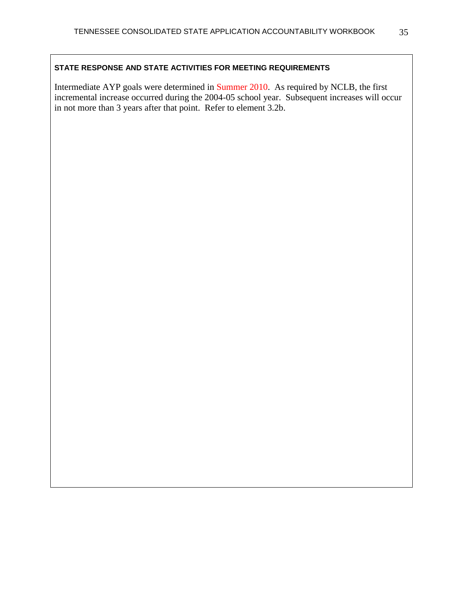Intermediate AYP goals were determined in Summer 2010. As required by NCLB, the first incremental increase occurred during the 2004-05 school year. Subsequent increases will occur in not more than 3 years after that point. Refer to element 3.2b.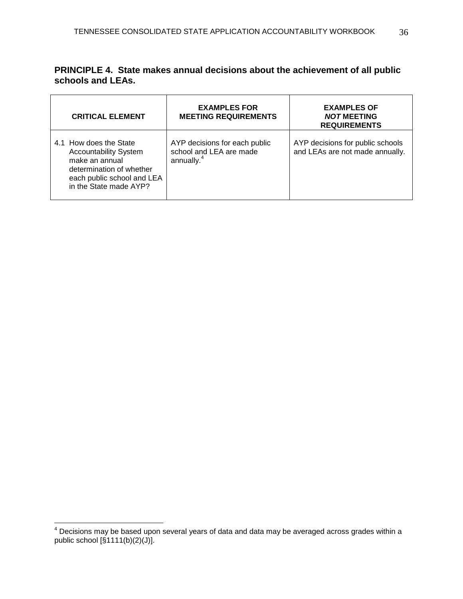|                   | <b>PRINCIPLE 4. State makes annual decisions about the achievement of all public</b> |
|-------------------|--------------------------------------------------------------------------------------|
| schools and LEAs. |                                                                                      |

| <b>CRITICAL ELEMENT</b>                                                                                                                                      | <b>EXAMPLES FOR</b><br><b>MEETING REQUIREMENTS</b>                                 | <b>EXAMPLES OF</b><br><b>NOT MEETING</b><br><b>REQUIREMENTS</b>     |
|--------------------------------------------------------------------------------------------------------------------------------------------------------------|------------------------------------------------------------------------------------|---------------------------------------------------------------------|
| 4.1 How does the State<br><b>Accountability System</b><br>make an annual<br>determination of whether<br>each public school and LEA<br>in the State made AYP? | AYP decisions for each public<br>school and LEA are made<br>annually. <sup>4</sup> | AYP decisions for public schools<br>and LEAs are not made annually. |

 $\overline{a}$ 

 $^4$  Decisions may be based upon several years of data and data may be averaged across grades within a public school [§1111(b)(2)(J)].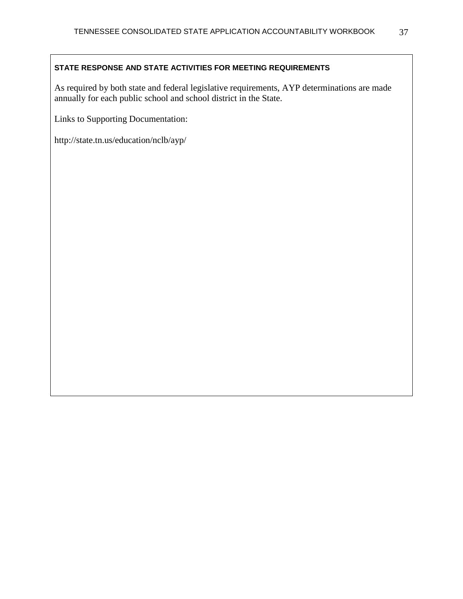As required by both state and federal legislative requirements, AYP determinations are made annually for each public school and school district in the State.

Links to Supporting Documentation:

http://state.tn.us/education/nclb/ayp/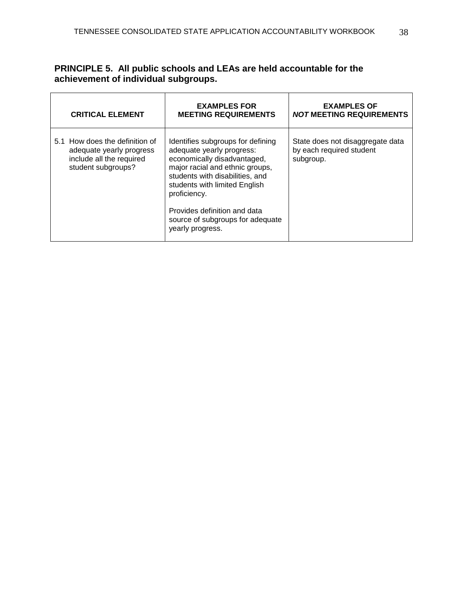| PRINCIPLE 5. All public schools and LEAs are held accountable for the |
|-----------------------------------------------------------------------|
| achievement of individual subgroups.                                  |

| <b>CRITICAL ELEMENT</b>                                                                                      | <b>EXAMPLES FOR</b><br><b>MEETING REQUIREMENTS</b>                                                                                                                                                                                                                                                           | <b>EXAMPLES OF</b><br><b>NOT MEETING REQUIREMENTS</b>                     |
|--------------------------------------------------------------------------------------------------------------|--------------------------------------------------------------------------------------------------------------------------------------------------------------------------------------------------------------------------------------------------------------------------------------------------------------|---------------------------------------------------------------------------|
| 5.1 How does the definition of<br>adequate yearly progress<br>include all the required<br>student subgroups? | Identifies subgroups for defining<br>adequate yearly progress:<br>economically disadvantaged,<br>major racial and ethnic groups,<br>students with disabilities, and<br>students with limited English<br>proficiency.<br>Provides definition and data<br>source of subgroups for adequate<br>yearly progress. | State does not disaggregate data<br>by each required student<br>subgroup. |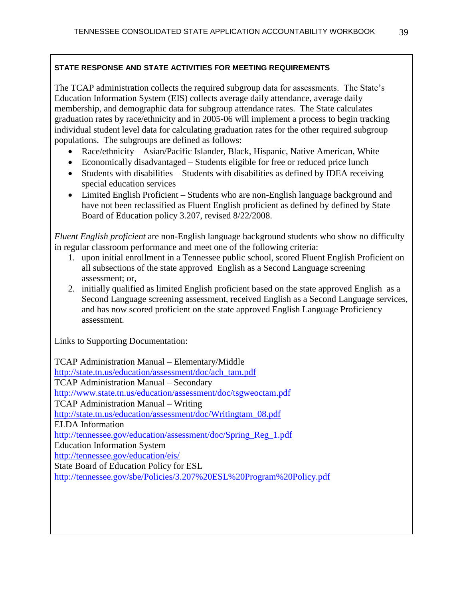The TCAP administration collects the required subgroup data for assessments. The State's Education Information System (EIS) collects average daily attendance, average daily membership, and demographic data for subgroup attendance rates. The State calculates graduation rates by race/ethnicity and in 2005-06 will implement a process to begin tracking individual student level data for calculating graduation rates for the other required subgroup populations. The subgroups are defined as follows:

- Race/ethnicity Asian/Pacific Islander, Black, Hispanic, Native American, White
- Economically disadvantaged Students eligible for free or reduced price lunch
- Students with disabilities Students with disabilities as defined by IDEA receiving special education services
- Limited English Proficient Students who are non-English language background and have not been reclassified as Fluent English proficient as defined by defined by State Board of Education policy 3.207, revised 8/22/2008.

*Fluent English proficient* are non-English language background students who show no difficulty in regular classroom performance and meet one of the following criteria:

- 1. upon initial enrollment in a Tennessee public school, scored Fluent English Proficient on all subsections of the state approved English as a Second Language screening assessment; or,
- 2. initially qualified as limited English proficient based on the state approved English as a Second Language screening assessment, received English as a Second Language services, and has now scored proficient on the state approved English Language Proficiency assessment.

Links to Supporting Documentation:

TCAP Administration Manual – Elementary/Middle [http://state.tn.us/education/assessment/doc/ach\\_tam.pdf](http://state.tn.us/education/assessment/doc/ach_tam.pdf) TCAP Administration Manual – Secondary http://www.state.tn.us/education/assessment/doc/tsgweoctam.pdf TCAP Administration Manual – Writing [http://state.tn.us/education/assessment/doc/Writingtam\\_08.pdf](http://state.tn.us/education/assessment/doc/Writingtam_08.pdf) ELDA Information [http://tennessee.gov/education/assessment/doc/Spring\\_Reg\\_1.pdf](http://tennessee.gov/education/assessment/doc/Spring_Reg_1.pdf) Education Information System <http://tennessee.gov/education/eis/> State Board of Education Policy for ESL <http://tennessee.gov/sbe/Policies/3.207%20ESL%20Program%20Policy.pdf>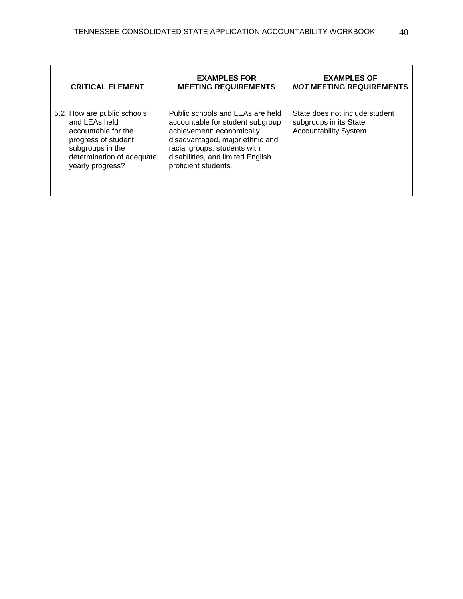| <b>CRITICAL ELEMENT</b>                                                                                                                                        | <b>EXAMPLES FOR</b><br><b>MEETING REQUIREMENTS</b>                                                                                                                                                                                | <b>EXAMPLES OF</b><br><b>NOT MEETING REQUIREMENTS</b>                              |
|----------------------------------------------------------------------------------------------------------------------------------------------------------------|-----------------------------------------------------------------------------------------------------------------------------------------------------------------------------------------------------------------------------------|------------------------------------------------------------------------------------|
| 5.2 How are public schools<br>and LEAs held<br>accountable for the<br>progress of student<br>subgroups in the<br>determination of adequate<br>yearly progress? | Public schools and LEAs are held<br>accountable for student subgroup<br>achievement: economically<br>disadvantaged, major ethnic and<br>racial groups, students with<br>disabilities, and limited English<br>proficient students. | State does not include student<br>subgroups in its State<br>Accountability System. |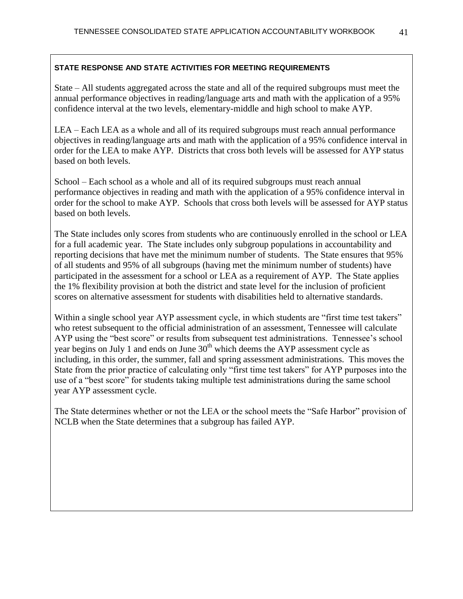State – All students aggregated across the state and all of the required subgroups must meet the annual performance objectives in reading/language arts and math with the application of a 95% confidence interval at the two levels, elementary-middle and high school to make AYP.

LEA – Each LEA as a whole and all of its required subgroups must reach annual performance objectives in reading/language arts and math with the application of a 95% confidence interval in order for the LEA to make AYP. Districts that cross both levels will be assessed for AYP status based on both levels.

School – Each school as a whole and all of its required subgroups must reach annual performance objectives in reading and math with the application of a 95% confidence interval in order for the school to make AYP. Schools that cross both levels will be assessed for AYP status based on both levels.

The State includes only scores from students who are continuously enrolled in the school or LEA for a full academic year. The State includes only subgroup populations in accountability and reporting decisions that have met the minimum number of students. The State ensures that 95% of all students and 95% of all subgroups (having met the minimum number of students) have participated in the assessment for a school or LEA as a requirement of AYP. The State applies the 1% flexibility provision at both the district and state level for the inclusion of proficient scores on alternative assessment for students with disabilities held to alternative standards.

Within a single school year AYP assessment cycle, in which students are "first time test takers" who retest subsequent to the official administration of an assessment, Tennessee will calculate AYP using the "best score" or results from subsequent test administrations. Tennessee's school year begins on July 1 and ends on June  $30<sup>th</sup>$  which deems the AYP assessment cycle as including, in this order, the summer, fall and spring assessment administrations. This moves the State from the prior practice of calculating only "first time test takers" for AYP purposes into the use of a "best score" for students taking multiple test administrations during the same school year AYP assessment cycle.

The State determines whether or not the LEA or the school meets the "Safe Harbor" provision of NCLB when the State determines that a subgroup has failed AYP.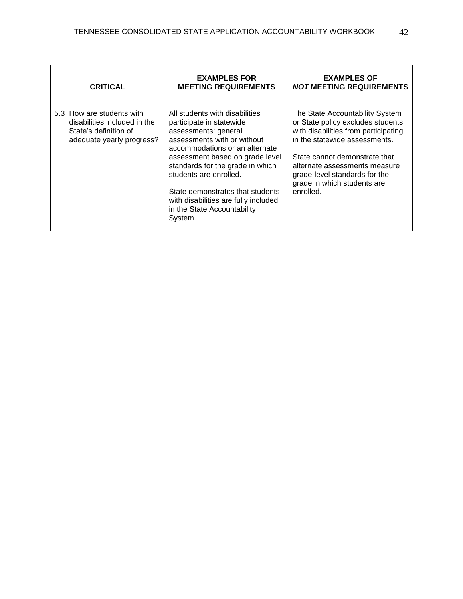| <b>CRITICAL</b>                                                                                                 | <b>EXAMPLES FOR</b><br><b>MEETING REQUIREMENTS</b>                                                                                                                                                                                                                                                                                                                         | <b>EXAMPLES OF</b><br><b>NOT MEETING REQUIREMENTS</b>                                                                                                                                                                                                                                        |
|-----------------------------------------------------------------------------------------------------------------|----------------------------------------------------------------------------------------------------------------------------------------------------------------------------------------------------------------------------------------------------------------------------------------------------------------------------------------------------------------------------|----------------------------------------------------------------------------------------------------------------------------------------------------------------------------------------------------------------------------------------------------------------------------------------------|
| 5.3 How are students with<br>disabilities included in the<br>State's definition of<br>adequate yearly progress? | All students with disabilities<br>participate in statewide<br>assessments: general<br>assessments with or without<br>accommodations or an alternate<br>assessment based on grade level<br>standards for the grade in which<br>students are enrolled.<br>State demonstrates that students<br>with disabilities are fully included<br>in the State Accountability<br>System. | The State Accountability System<br>or State policy excludes students<br>with disabilities from participating<br>in the statewide assessments.<br>State cannot demonstrate that<br>alternate assessments measure<br>grade-level standards for the<br>grade in which students are<br>enrolled. |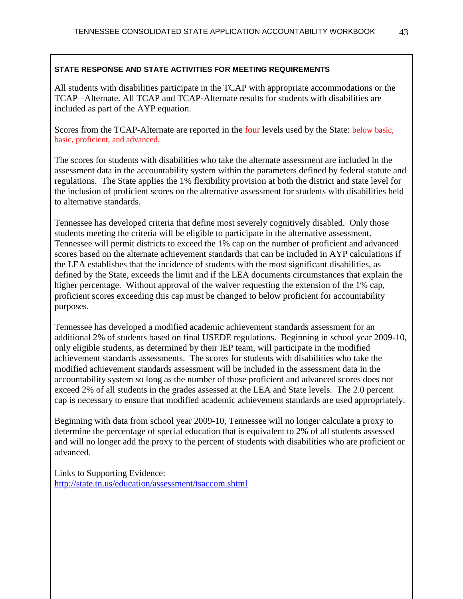All students with disabilities participate in the TCAP with appropriate accommodations or the TCAP –Alternate. All TCAP and TCAP-Alternate results for students with disabilities are included as part of the AYP equation.

Scores from the TCAP-Alternate are reported in the four levels used by the State: below basic, basic, proficient, and advanced.

The scores for students with disabilities who take the alternate assessment are included in the assessment data in the accountability system within the parameters defined by federal statute and regulations. The State applies the 1% flexibility provision at both the district and state level for the inclusion of proficient scores on the alternative assessment for students with disabilities held to alternative standards.

Tennessee has developed criteria that define most severely cognitively disabled. Only those students meeting the criteria will be eligible to participate in the alternative assessment. Tennessee will permit districts to exceed the 1% cap on the number of proficient and advanced scores based on the alternate achievement standards that can be included in AYP calculations if the LEA establishes that the incidence of students with the most significant disabilities, as defined by the State, exceeds the limit and if the LEA documents circumstances that explain the higher percentage. Without approval of the waiver requesting the extension of the 1% cap, proficient scores exceeding this cap must be changed to below proficient for accountability purposes.

Tennessee has developed a modified academic achievement standards assessment for an additional 2% of students based on final USEDE regulations. Beginning in school year 2009-10, only eligible students, as determined by their IEP team, will participate in the modified achievement standards assessments. The scores for students with disabilities who take the modified achievement standards assessment will be included in the assessment data in the accountability system so long as the number of those proficient and advanced scores does not exceed 2% of all students in the grades assessed at the LEA and State levels. The 2.0 percent cap is necessary to ensure that modified academic achievement standards are used appropriately.

Beginning with data from school year 2009-10, Tennessee will no longer calculate a proxy to determine the percentage of special education that is equivalent to 2% of all students assessed and will no longer add the proxy to the percent of students with disabilities who are proficient or advanced.

Links to Supporting Evidence: <http://state.tn.us/education/assessment/tsaccom.shtml>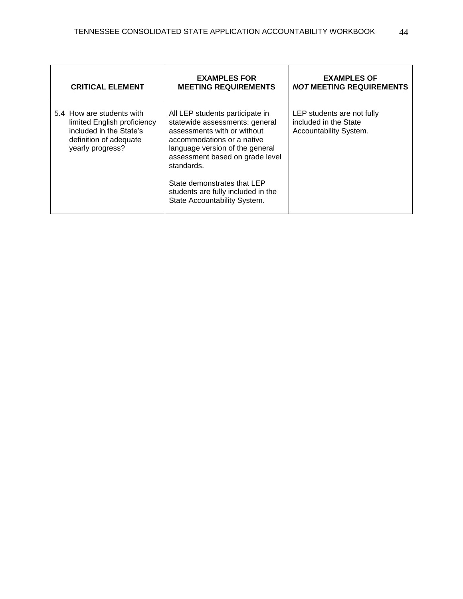| <b>CRITICAL ELEMENT</b>                                                                                                           | <b>EXAMPLES FOR</b><br><b>MEETING REQUIREMENTS</b>                                                                                                                                                                                                | <b>EXAMPLES OF</b><br><b>NOT MEETING REQUIREMENTS</b>                         |
|-----------------------------------------------------------------------------------------------------------------------------------|---------------------------------------------------------------------------------------------------------------------------------------------------------------------------------------------------------------------------------------------------|-------------------------------------------------------------------------------|
| 5.4 How are students with<br>limited English proficiency<br>included in the State's<br>definition of adequate<br>yearly progress? | All LEP students participate in<br>statewide assessments: general<br>assessments with or without<br>accommodations or a native<br>language version of the general<br>assessment based on grade level<br>standards.<br>State demonstrates that LEP | LEP students are not fully<br>included in the State<br>Accountability System. |
|                                                                                                                                   | students are fully included in the<br>State Accountability System.                                                                                                                                                                                |                                                                               |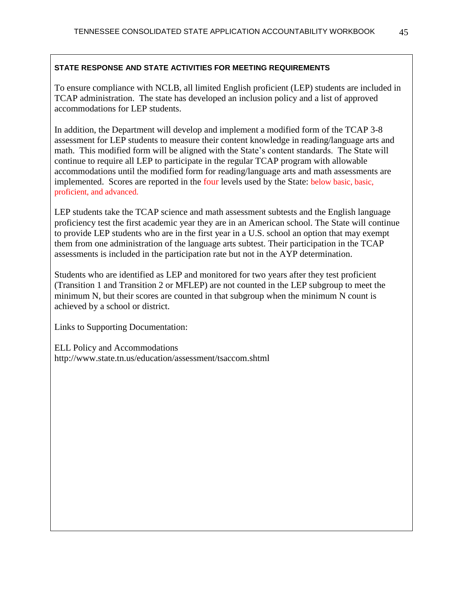To ensure compliance with NCLB, all limited English proficient (LEP) students are included in TCAP administration. The state has developed an inclusion policy and a list of approved accommodations for LEP students.

In addition, the Department will develop and implement a modified form of the TCAP 3-8 assessment for LEP students to measure their content knowledge in reading/language arts and math. This modified form will be aligned with the State's content standards. The State will continue to require all LEP to participate in the regular TCAP program with allowable accommodations until the modified form for reading/language arts and math assessments are implemented. Scores are reported in the four levels used by the State: below basic, basic, proficient, and advanced.

LEP students take the TCAP science and math assessment subtests and the English language proficiency test the first academic year they are in an American school. The State will continue to provide LEP students who are in the first year in a U.S. school an option that may exempt them from one administration of the language arts subtest. Their participation in the TCAP assessments is included in the participation rate but not in the AYP determination.

Students who are identified as LEP and monitored for two years after they test proficient (Transition 1 and Transition 2 or MFLEP) are not counted in the LEP subgroup to meet the minimum N, but their scores are counted in that subgroup when the minimum N count is achieved by a school or district.

Links to Supporting Documentation:

ELL Policy and Accommodations http://www.state.tn.us/education/assessment/tsaccom.shtml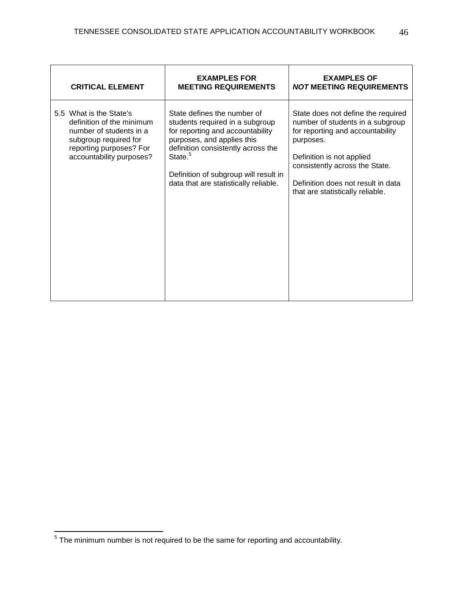| <b>CRITICAL ELEMENT</b>                                                                                                                                         | <b>EXAMPLES FOR</b><br><b>MEETING REQUIREMENTS</b>                                                                                                                                                                                                                              | <b>EXAMPLES OF</b><br><b>NOT MEETING REQUIREMENTS</b>                                                                                                                                                                                                            |
|-----------------------------------------------------------------------------------------------------------------------------------------------------------------|---------------------------------------------------------------------------------------------------------------------------------------------------------------------------------------------------------------------------------------------------------------------------------|------------------------------------------------------------------------------------------------------------------------------------------------------------------------------------------------------------------------------------------------------------------|
| 5.5 What is the State's<br>definition of the minimum<br>number of students in a<br>subgroup required for<br>reporting purposes? For<br>accountability purposes? | State defines the number of<br>students required in a subgroup<br>for reporting and accountability<br>purposes, and applies this<br>definition consistently across the<br>State. <sup>5</sup><br>Definition of subgroup will result in<br>data that are statistically reliable. | State does not define the required<br>number of students in a subgroup<br>for reporting and accountability<br>purposes.<br>Definition is not applied<br>consistently across the State.<br>Definition does not result in data<br>that are statistically reliable. |

<sup>————————————————————&</sup>lt;br><sup>5</sup> The minimum number is not required to be the same for reporting and accountability.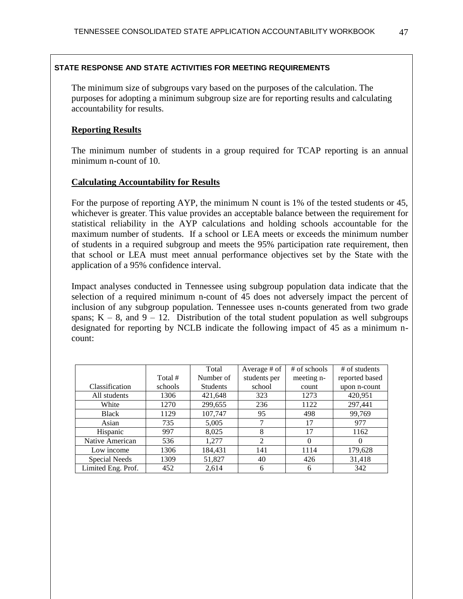The minimum size of subgroups vary based on the purposes of the calculation. The purposes for adopting a minimum subgroup size are for reporting results and calculating accountability for results.

## **Reporting Results**

The minimum number of students in a group required for TCAP reporting is an annual minimum n-count of 10.

### **Calculating Accountability for Results**

For the purpose of reporting AYP, the minimum N count is 1% of the tested students or 45, whichever is greater. This value provides an acceptable balance between the requirement for statistical reliability in the AYP calculations and holding schools accountable for the maximum number of students. If a school or LEA meets or exceeds the minimum number of students in a required subgroup and meets the 95% participation rate requirement, then that school or LEA must meet annual performance objectives set by the State with the application of a 95% confidence interval.

Impact analyses conducted in Tennessee using subgroup population data indicate that the selection of a required minimum n-count of 45 does not adversely impact the percent of inclusion of any subgroup population. Tennessee uses n-counts generated from two grade spans;  $K - 8$ , and  $9 - 12$ . Distribution of the total student population as well subgroups designated for reporting by NCLB indicate the following impact of 45 as a minimum ncount:

|                    |         | Total           | Average # of   | # of schools | # of students  |
|--------------------|---------|-----------------|----------------|--------------|----------------|
|                    | Total # | Number of       | students per   | meeting n-   | reported based |
| Classification     | schools | <b>Students</b> | school         | count        | upon n-count   |
| All students       | 1306    | 421,648         | 323            | 1273         | 420,951        |
| White              | 1270    | 299,655         | 236            | 1122         | 297,441        |
| <b>Black</b>       | 1129    | 107,747         | 95             | 498          | 99,769         |
| Asian              | 735     | 5,005           | 7              | 17           | 977            |
| Hispanic           | 997     | 8,025           | 8              | 17           | 1162           |
| Native American    | 536     | 1,277           | $\overline{2}$ | $\Omega$     | $\Omega$       |
| Low income         | 1306    | 184,431         | 141            | 1114         | 179,628        |
| Special Needs      | 1309    | 51,827          | 40             | 426          | 31,418         |
| Limited Eng. Prof. | 452     | 2,614           | 6              | 6            | 342            |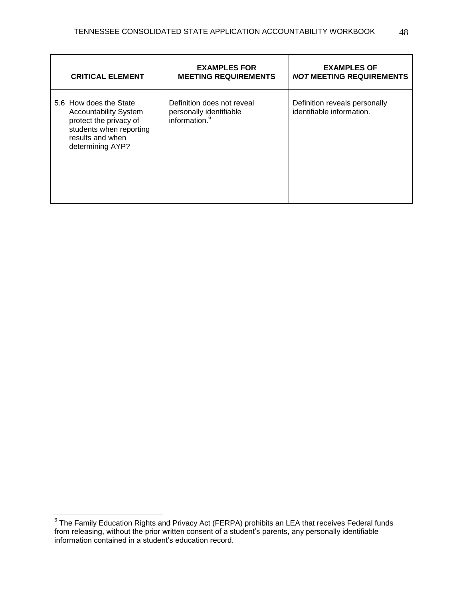| <b>CRITICAL ELEMENT</b>                                                                                                                             | <b>EXAMPLES FOR</b><br><b>MEETING REQUIREMENTS</b>                                 | <b>EXAMPLES OF</b><br><b>NOT MEETING REQUIREMENTS</b>      |
|-----------------------------------------------------------------------------------------------------------------------------------------------------|------------------------------------------------------------------------------------|------------------------------------------------------------|
| 5.6 How does the State<br><b>Accountability System</b><br>protect the privacy of<br>students when reporting<br>results and when<br>determining AYP? | Definition does not reveal<br>personally identifiable<br>information. <sup>6</sup> | Definition reveals personally<br>identifiable information. |

 6 The Family Education Rights and Privacy Act (FERPA) prohibits an LEA that receives Federal funds from releasing, without the prior written consent of a student's parents, any personally identifiable information contained in a student's education record.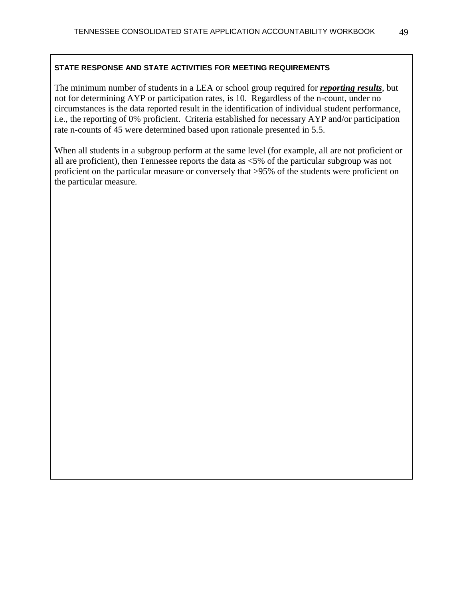The minimum number of students in a LEA or school group required for *reporting results*, but not for determining AYP or participation rates, is 10. Regardless of the n-count, under no circumstances is the data reported result in the identification of individual student performance, i.e., the reporting of 0% proficient. Criteria established for necessary AYP and/or participation rate n-counts of 45 were determined based upon rationale presented in 5.5.

When all students in a subgroup perform at the same level (for example, all are not proficient or all are proficient), then Tennessee reports the data as <5% of the particular subgroup was not proficient on the particular measure or conversely that >95% of the students were proficient on the particular measure.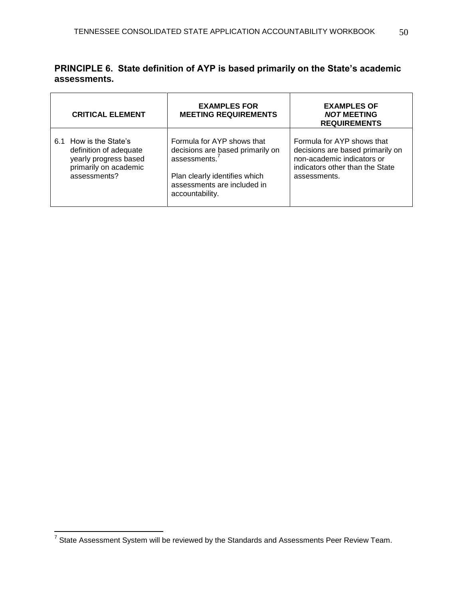|              | PRINCIPLE 6. State definition of AYP is based primarily on the State's academic |
|--------------|---------------------------------------------------------------------------------|
| assessments. |                                                                                 |

|    | <b>CRITICAL ELEMENT</b>                                                                                        | <b>EXAMPLES FOR</b><br><b>MEETING REQUIREMENTS</b>                                                                                                                    | <b>EXAMPLES OF</b><br><b>NOT MEETING</b><br><b>REQUIREMENTS</b>                                                                                 |
|----|----------------------------------------------------------------------------------------------------------------|-----------------------------------------------------------------------------------------------------------------------------------------------------------------------|-------------------------------------------------------------------------------------------------------------------------------------------------|
| 61 | How is the State's<br>definition of adequate<br>yearly progress based<br>primarily on academic<br>assessments? | Formula for AYP shows that<br>decisions are based primarily on<br>assessments. $7$<br>Plan clearly identifies which<br>assessments are included in<br>accountability. | Formula for AYP shows that<br>decisions are based primarily on<br>non-academic indicators or<br>indicators other than the State<br>assessments. |

 $\overline{\phantom{a}}$ 

<sup>————————————————————&</sup>lt;br><sup>7</sup> State Assessment System will be reviewed by the Standards and Assessments Peer Review Team.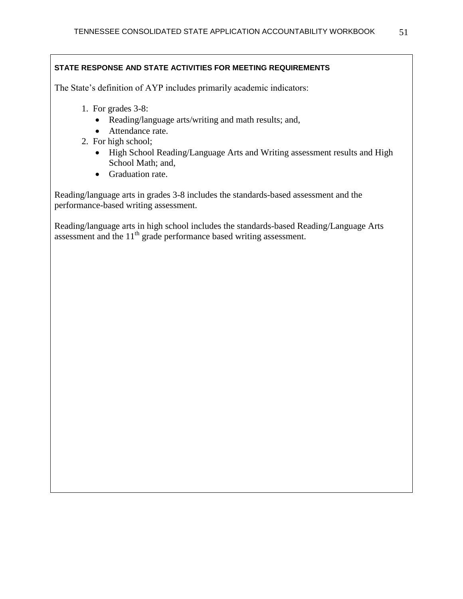The State's definition of AYP includes primarily academic indicators:

- 1. For grades 3-8:
	- Reading/language arts/writing and math results; and,
	- Attendance rate.
- 2. For high school;
	- High School Reading/Language Arts and Writing assessment results and High School Math; and,
	- Graduation rate.

Reading/language arts in grades 3-8 includes the standards-based assessment and the performance-based writing assessment.

Reading/language arts in high school includes the standards-based Reading/Language Arts assessment and the  $11<sup>th</sup>$  grade performance based writing assessment.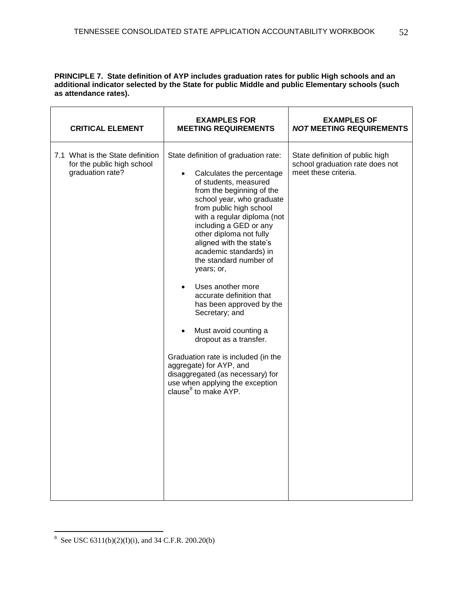**PRINCIPLE 7. State definition of AYP includes graduation rates for public High schools and an additional indicator selected by the State for public Middle and public Elementary schools (such as attendance rates).**

| <b>CRITICAL ELEMENT</b>                                                            | <b>EXAMPLES FOR</b><br><b>MEETING REQUIREMENTS</b>                                                                                                                                                                                                                                                                                                                                                                                                                                                                                                                                                                                                                                                                                      | <b>EXAMPLES OF</b><br><i>NOT</i> MEETING REQUIREMENTS                                      |
|------------------------------------------------------------------------------------|-----------------------------------------------------------------------------------------------------------------------------------------------------------------------------------------------------------------------------------------------------------------------------------------------------------------------------------------------------------------------------------------------------------------------------------------------------------------------------------------------------------------------------------------------------------------------------------------------------------------------------------------------------------------------------------------------------------------------------------------|--------------------------------------------------------------------------------------------|
| 7.1 What is the State definition<br>for the public high school<br>graduation rate? | State definition of graduation rate:<br>Calculates the percentage<br>$\bullet$<br>of students, measured<br>from the beginning of the<br>school year, who graduate<br>from public high school<br>with a regular diploma (not<br>including a GED or any<br>other diploma not fully<br>aligned with the state's<br>academic standards) in<br>the standard number of<br>years; or,<br>Uses another more<br>$\bullet$<br>accurate definition that<br>has been approved by the<br>Secretary; and<br>Must avoid counting a<br>$\bullet$<br>dropout as a transfer.<br>Graduation rate is included (in the<br>aggregate) for AYP, and<br>disaggregated (as necessary) for<br>use when applying the exception<br>clause <sup>8</sup> to make AYP. | State definition of public high<br>school graduation rate does not<br>meet these criteria. |
|                                                                                    |                                                                                                                                                                                                                                                                                                                                                                                                                                                                                                                                                                                                                                                                                                                                         |                                                                                            |

<sup>8&</sup>lt;br>8 See USC 6311(b)(2)(I)(i), and 34 C.F.R. 200.20(b)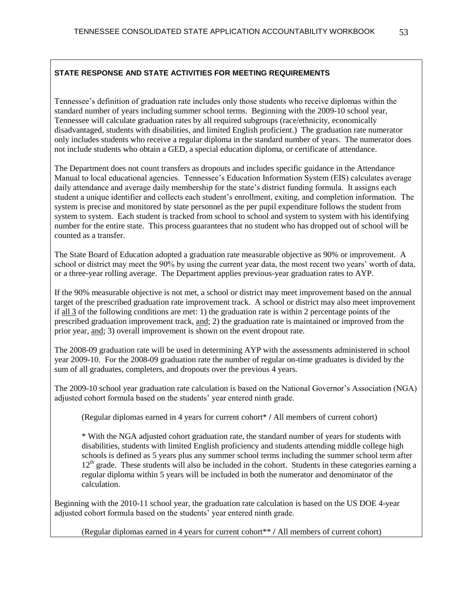Tennessee's definition of graduation rate includes only those students who receive diplomas within the standard number of years including summer school terms. Beginning with the 2009-10 school year, Tennessee will calculate graduation rates by all required subgroups (race/ethnicity, economically disadvantaged, students with disabilities, and limited English proficient.) The graduation rate numerator only includes students who receive a regular diploma in the standard number of years. The numerator does not include students who obtain a GED, a special education diploma, or certificate of attendance.

The Department does not count transfers as dropouts and includes specific guidance in the Attendance Manual to local educational agencies. Tennessee's Education Information System (EIS) calculates average daily attendance and average daily membership for the state's district funding formula. It assigns each student a unique identifier and collects each student's enrollment, exiting, and completion information. The system is precise and monitored by state personnel as the per pupil expenditure follows the student from system to system. Each student is tracked from school to school and system to system with his identifying number for the entire state. This process guarantees that no student who has dropped out of school will be counted as a transfer.

The State Board of Education adopted a graduation rate measurable objective as 90% or improvement. A school or district may meet the 90% by using the current year data, the most recent two years' worth of data, or a three-year rolling average. The Department applies previous-year graduation rates to AYP.

If the 90% measurable objective is not met, a school or district may meet improvement based on the annual target of the prescribed graduation rate improvement track. A school or district may also meet improvement if all 3 of the following conditions are met: 1) the graduation rate is within 2 percentage points of the prescribed graduation improvement track, and; 2) the graduation rate is maintained or improved from the prior year, and; 3) overall improvement is shown on the event dropout rate.

The 2008-09 graduation rate will be used in determining AYP with the assessments administered in school year 2009-10. For the 2008-09 graduation rate the number of regular on-time graduates is divided by the sum of all graduates, completers, and dropouts over the previous 4 years.

The 2009-10 school year graduation rate calculation is based on the National Governor's Association (NGA) adjusted cohort formula based on the students' year entered ninth grade.

(Regular diplomas earned in 4 years for current cohort\* **/** All members of current cohort)

\* With the NGA adjusted cohort graduation rate, the standard number of years for students with disabilities, students with limited English proficiency and students attending middle college high schools is defined as 5 years plus any summer school terms including the summer school term after  $12<sup>th</sup>$  grade. These students will also be included in the cohort. Students in these categories earning a regular diploma within 5 years will be included in both the numerator and denominator of the calculation.

Beginning with the 2010-11 school year, the graduation rate calculation is based on the US DOE 4-year adjusted cohort formula based on the students' year entered ninth grade.

(Regular diplomas earned in 4 years for current cohort\*\* **/** All members of current cohort)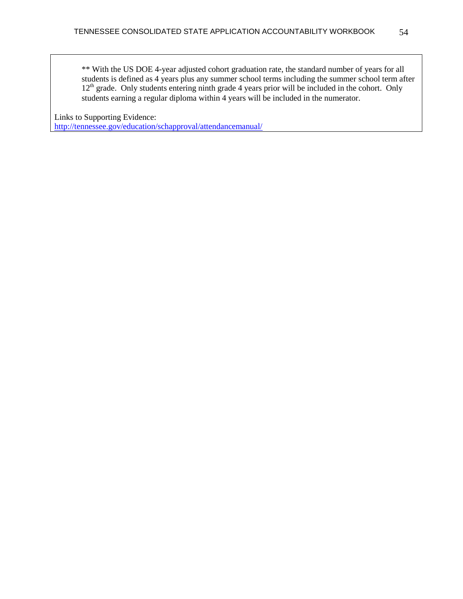\*\* With the US DOE 4-year adjusted cohort graduation rate, the standard number of years for all students is defined as 4 years plus any summer school terms including the summer school term after 12<sup>th</sup> grade. Only students entering ninth grade 4 years prior will be included in the cohort. Only students earning a regular diploma within 4 years will be included in the numerator.

Links to Supporting Evidence:

<http://tennessee.gov/education/schapproval/attendancemanual/>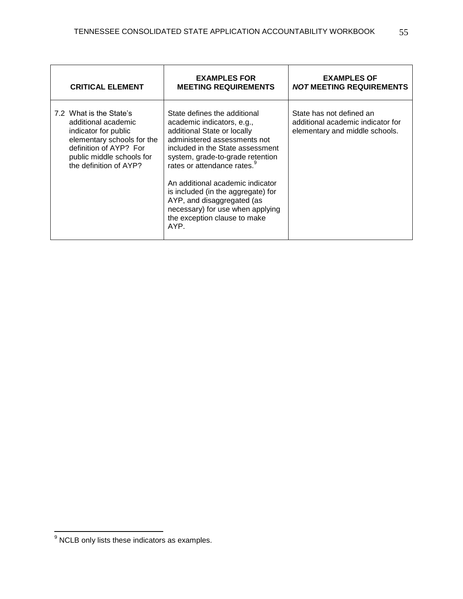| <b>CRITICAL ELEMENT</b>                                                                                                                                                               | <b>EXAMPLES FOR</b><br><b>MEETING REQUIREMENTS</b>                                                                                                                                                                                                                                                                                                                                                                               | <b>EXAMPLES OF</b><br><i>NOT</i> MEETING REQUIREMENTS                                           |
|---------------------------------------------------------------------------------------------------------------------------------------------------------------------------------------|----------------------------------------------------------------------------------------------------------------------------------------------------------------------------------------------------------------------------------------------------------------------------------------------------------------------------------------------------------------------------------------------------------------------------------|-------------------------------------------------------------------------------------------------|
| 7.2 What is the State's<br>additional academic<br>indicator for public<br>elementary schools for the<br>definition of AYP? For<br>public middle schools for<br>the definition of AYP? | State defines the additional<br>academic indicators, e.g.,<br>additional State or locally<br>administered assessments not<br>included in the State assessment<br>system, grade-to-grade retention<br>rates or attendance rates. <sup>9</sup><br>An additional academic indicator<br>is included (in the aggregate) for<br>AYP, and disaggregated (as<br>necessary) for use when applying<br>the exception clause to make<br>AYP. | State has not defined an<br>additional academic indicator for<br>elementary and middle schools. |

 $\overline{\phantom{a}}$ 

 $\overline{a}$ 

 $9$  NCLB only lists these indicators as examples.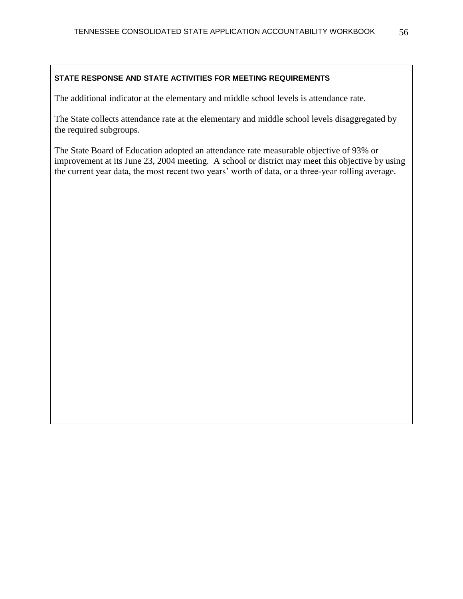The additional indicator at the elementary and middle school levels is attendance rate.

The State collects attendance rate at the elementary and middle school levels disaggregated by the required subgroups.

The State Board of Education adopted an attendance rate measurable objective of 93% or improvement at its June 23, 2004 meeting. A school or district may meet this objective by using the current year data, the most recent two years' worth of data, or a three-year rolling average.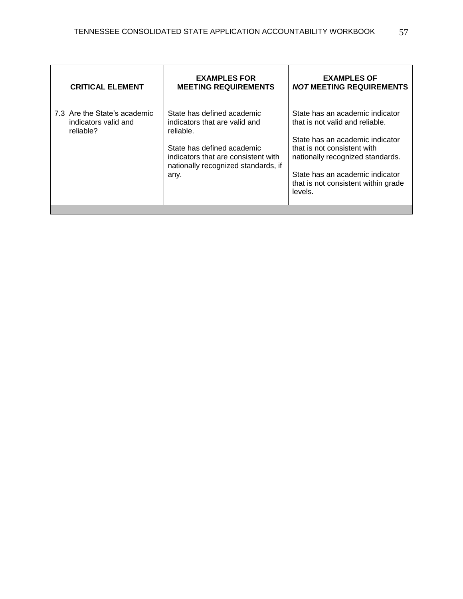| <b>CRITICAL ELEMENT</b>                                           | <b>EXAMPLES FOR</b><br><b>MEETING REQUIREMENTS</b>                                                                                                                                           | <b>EXAMPLES OF</b><br><b>NOT MEETING REQUIREMENTS</b>                                                                                                                                                                                                         |
|-------------------------------------------------------------------|----------------------------------------------------------------------------------------------------------------------------------------------------------------------------------------------|---------------------------------------------------------------------------------------------------------------------------------------------------------------------------------------------------------------------------------------------------------------|
| 7.3 Are the State's academic<br>indicators valid and<br>reliable? | State has defined academic<br>indicators that are valid and<br>reliable.<br>State has defined academic<br>indicators that are consistent with<br>nationally recognized standards, if<br>any. | State has an academic indicator<br>that is not valid and reliable.<br>State has an academic indicator<br>that is not consistent with<br>nationally recognized standards.<br>State has an academic indicator<br>that is not consistent within grade<br>levels. |
|                                                                   |                                                                                                                                                                                              |                                                                                                                                                                                                                                                               |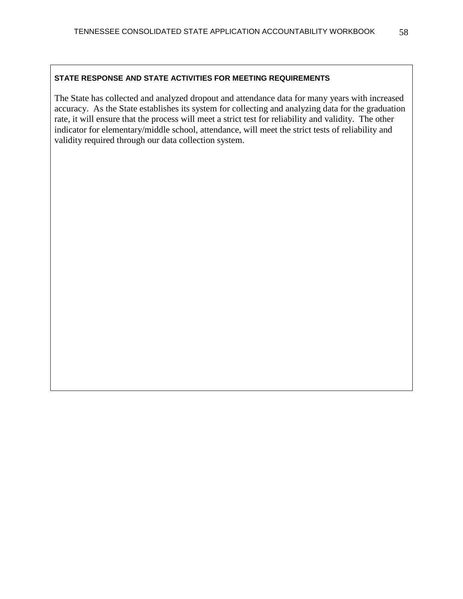The State has collected and analyzed dropout and attendance data for many years with increased accuracy. As the State establishes its system for collecting and analyzing data for the graduation rate, it will ensure that the process will meet a strict test for reliability and validity. The other indicator for elementary/middle school, attendance, will meet the strict tests of reliability and validity required through our data collection system.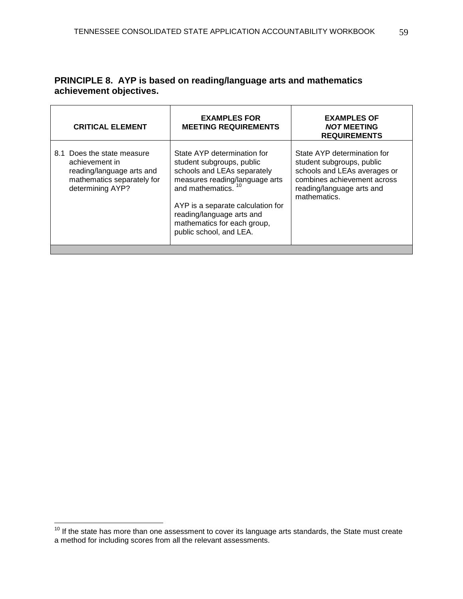# **PRINCIPLE 8. AYP is based on reading/language arts and mathematics achievement objectives.**

| <b>CRITICAL ELEMENT</b>                                                                                                     | <b>EXAMPLES FOR</b><br><b>MEETING REQUIREMENTS</b>                                                                                                                                                                                                                                      | <b>EXAMPLES OF</b><br><b>NOT MEETING</b><br><b>REQUIREMENTS</b>                                                                                                      |
|-----------------------------------------------------------------------------------------------------------------------------|-----------------------------------------------------------------------------------------------------------------------------------------------------------------------------------------------------------------------------------------------------------------------------------------|----------------------------------------------------------------------------------------------------------------------------------------------------------------------|
| 8.1 Does the state measure<br>achievement in<br>reading/language arts and<br>mathematics separately for<br>determining AYP? | State AYP determination for<br>student subgroups, public<br>schools and LEAs separately<br>measures reading/language arts<br>and mathematics. <sup>10</sup><br>AYP is a separate calculation for<br>reading/language arts and<br>mathematics for each group,<br>public school, and LEA. | State AYP determination for<br>student subgroups, public<br>schools and LEAs averages or<br>combines achievement across<br>reading/language arts and<br>mathematics. |
|                                                                                                                             |                                                                                                                                                                                                                                                                                         |                                                                                                                                                                      |

 $\overline{a}$ 

 $10$  If the state has more than one assessment to cover its language arts standards, the State must create a method for including scores from all the relevant assessments.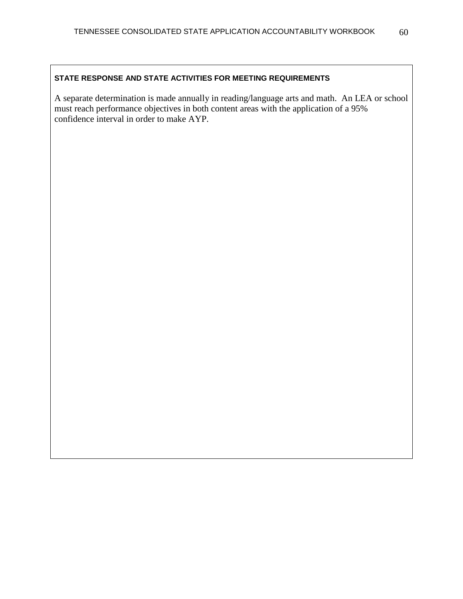A separate determination is made annually in reading/language arts and math. An LEA or school must reach performance objectives in both content areas with the application of a 95% confidence interval in order to make AYP.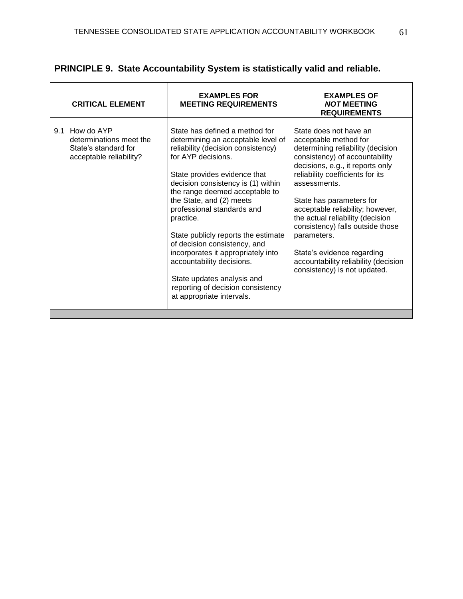| <b>CRITICAL ELEMENT</b>                                                                         | <b>EXAMPLES FOR</b><br><b>MEETING REQUIREMENTS</b>                                                                                                                                                                                                                                                                                                                                                                                                                                                                                                        | <b>EXAMPLES OF</b><br><b>NOT MEETING</b><br><b>REQUIREMENTS</b>                                                                                                                                                                                                                                                                                                                                                                                                             |
|-------------------------------------------------------------------------------------------------|-----------------------------------------------------------------------------------------------------------------------------------------------------------------------------------------------------------------------------------------------------------------------------------------------------------------------------------------------------------------------------------------------------------------------------------------------------------------------------------------------------------------------------------------------------------|-----------------------------------------------------------------------------------------------------------------------------------------------------------------------------------------------------------------------------------------------------------------------------------------------------------------------------------------------------------------------------------------------------------------------------------------------------------------------------|
| How do AYP<br>9.1<br>determinations meet the<br>State's standard for<br>acceptable reliability? | State has defined a method for<br>determining an acceptable level of<br>reliability (decision consistency)<br>for AYP decisions.<br>State provides evidence that<br>decision consistency is (1) within<br>the range deemed acceptable to<br>the State, and (2) meets<br>professional standards and<br>practice.<br>State publicly reports the estimate<br>of decision consistency, and<br>incorporates it appropriately into<br>accountability decisions.<br>State updates analysis and<br>reporting of decision consistency<br>at appropriate intervals. | State does not have an<br>acceptable method for<br>determining reliability (decision<br>consistency) of accountability<br>decisions, e.g., it reports only<br>reliability coefficients for its<br>assessments.<br>State has parameters for<br>acceptable reliability; however,<br>the actual reliability (decision<br>consistency) falls outside those<br>parameters.<br>State's evidence regarding<br>accountability reliability (decision<br>consistency) is not updated. |

# **PRINCIPLE 9. State Accountability System is statistically valid and reliable.**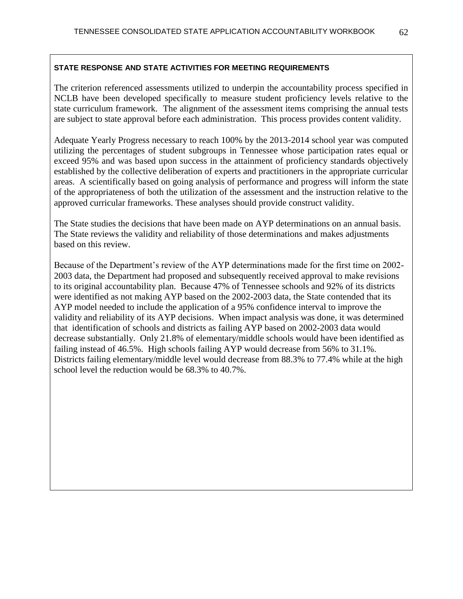The criterion referenced assessments utilized to underpin the accountability process specified in NCLB have been developed specifically to measure student proficiency levels relative to the state curriculum framework. The alignment of the assessment items comprising the annual tests are subject to state approval before each administration. This process provides content validity.

Adequate Yearly Progress necessary to reach 100% by the 2013-2014 school year was computed utilizing the percentages of student subgroups in Tennessee whose participation rates equal or exceed 95% and was based upon success in the attainment of proficiency standards objectively established by the collective deliberation of experts and practitioners in the appropriate curricular areas. A scientifically based on going analysis of performance and progress will inform the state of the appropriateness of both the utilization of the assessment and the instruction relative to the approved curricular frameworks. These analyses should provide construct validity.

The State studies the decisions that have been made on AYP determinations on an annual basis. The State reviews the validity and reliability of those determinations and makes adjustments based on this review.

Because of the Department's review of the AYP determinations made for the first time on 2002- 2003 data, the Department had proposed and subsequently received approval to make revisions to its original accountability plan. Because 47% of Tennessee schools and 92% of its districts were identified as not making AYP based on the 2002-2003 data, the State contended that its AYP model needed to include the application of a 95% confidence interval to improve the validity and reliability of its AYP decisions. When impact analysis was done, it was determined that identification of schools and districts as failing AYP based on 2002-2003 data would decrease substantially. Only 21.8% of elementary/middle schools would have been identified as failing instead of 46.5%. High schools failing AYP would decrease from 56% to 31.1%. Districts failing elementary/middle level would decrease from 88.3% to 77.4% while at the high school level the reduction would be 68.3% to 40.7%.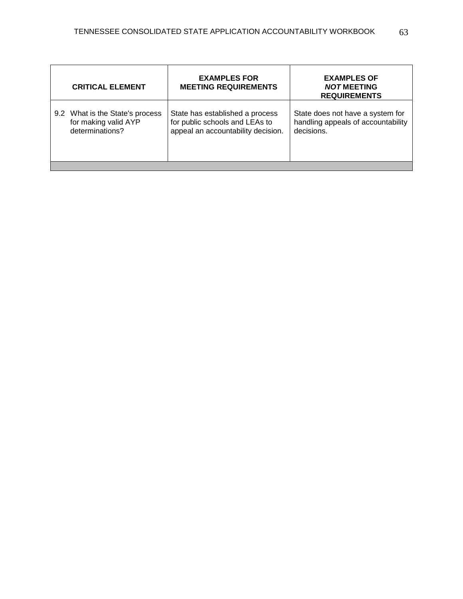| <b>CRITICAL ELEMENT</b>         | <b>EXAMPLES FOR</b><br><b>MEETING REQUIREMENTS</b> | <b>EXAMPLES OF</b><br><b>NOT MEETING</b><br><b>REQUIREMENTS</b> |  |
|---------------------------------|----------------------------------------------------|-----------------------------------------------------------------|--|
| 9.2 What is the State's process | State has established a process                    | State does not have a system for                                |  |
| for making valid AYP            | for public schools and LEAs to                     | handling appeals of accountability                              |  |
| determinations?                 | appeal an accountability decision.                 | decisions.                                                      |  |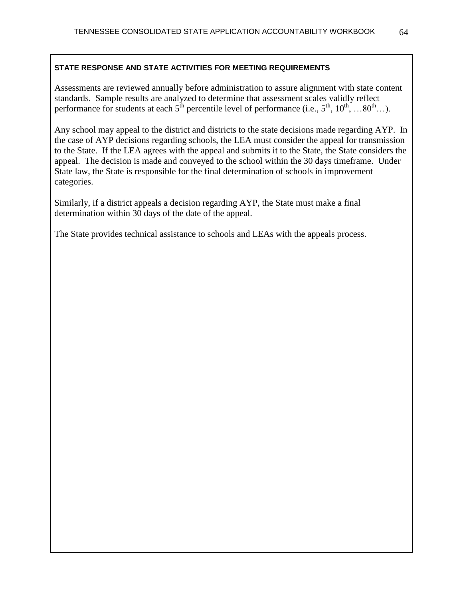Assessments are reviewed annually before administration to assure alignment with state content standards. Sample results are analyzed to determine that assessment scales validly reflect performance for students at each  $5^{th}$  percentile level of performance (i.e.,  $5^{th}$ ,  $10^{th}$ , … $80^{th}$ …).

Any school may appeal to the district and districts to the state decisions made regarding AYP. In the case of AYP decisions regarding schools, the LEA must consider the appeal for transmission to the State. If the LEA agrees with the appeal and submits it to the State, the State considers the appeal. The decision is made and conveyed to the school within the 30 days timeframe. Under State law, the State is responsible for the final determination of schools in improvement categories.

Similarly, if a district appeals a decision regarding AYP, the State must make a final determination within 30 days of the date of the appeal.

The State provides technical assistance to schools and LEAs with the appeals process.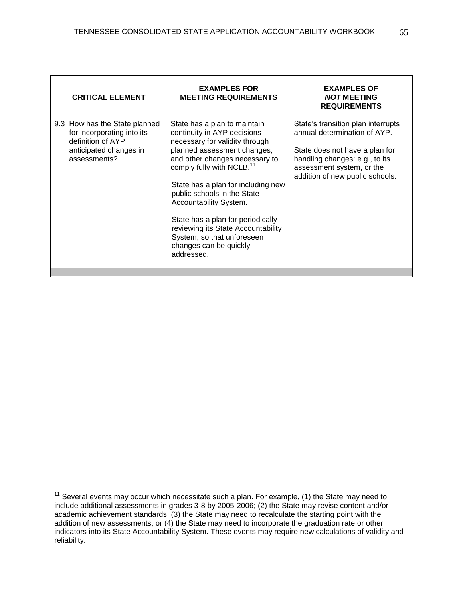| <b>CRITICAL ELEMENT</b>                                                                                                    | <b>EXAMPLES FOR</b><br><b>MEETING REQUIREMENTS</b>                                                                                                                                                                                                                                                                                                                                                                                                      | <b>EXAMPLES OF</b><br><b>NOT MEETING</b><br><b>REQUIREMENTS</b>                                                                                                                                        |  |
|----------------------------------------------------------------------------------------------------------------------------|---------------------------------------------------------------------------------------------------------------------------------------------------------------------------------------------------------------------------------------------------------------------------------------------------------------------------------------------------------------------------------------------------------------------------------------------------------|--------------------------------------------------------------------------------------------------------------------------------------------------------------------------------------------------------|--|
| 9.3 How has the State planned<br>for incorporating into its<br>definition of AYP<br>anticipated changes in<br>assessments? | State has a plan to maintain<br>continuity in AYP decisions<br>necessary for validity through<br>planned assessment changes,<br>and other changes necessary to<br>comply fully with NCLB. <sup>11</sup><br>State has a plan for including new<br>public schools in the State<br>Accountability System.<br>State has a plan for periodically<br>reviewing its State Accountability<br>System, so that unforeseen<br>changes can be quickly<br>addressed. | State's transition plan interrupts<br>annual determination of AYP.<br>State does not have a plan for<br>handling changes: e.g., to its<br>assessment system, or the<br>addition of new public schools. |  |
|                                                                                                                            |                                                                                                                                                                                                                                                                                                                                                                                                                                                         |                                                                                                                                                                                                        |  |

 $\overline{a}$ 

 $11$  Several events may occur which necessitate such a plan. For example, (1) the State may need to include additional assessments in grades 3-8 by 2005-2006; (2) the State may revise content and/or academic achievement standards; (3) the State may need to recalculate the starting point with the addition of new assessments; or (4) the State may need to incorporate the graduation rate or other indicators into its State Accountability System. These events may require new calculations of validity and reliability.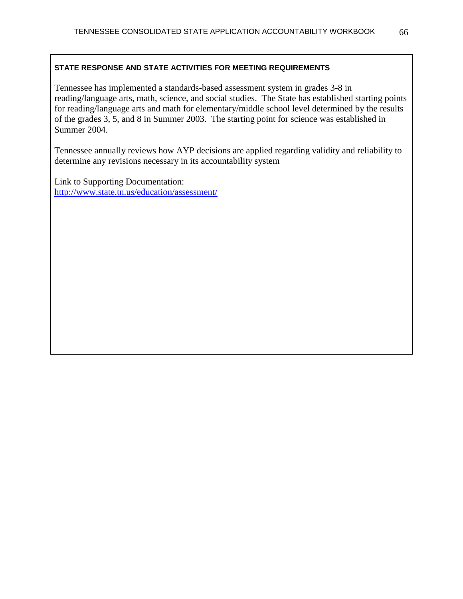Tennessee has implemented a standards-based assessment system in grades 3-8 in reading/language arts, math, science, and social studies. The State has established starting points for reading/language arts and math for elementary/middle school level determined by the results of the grades 3, 5, and 8 in Summer 2003. The starting point for science was established in Summer 2004.

Tennessee annually reviews how AYP decisions are applied regarding validity and reliability to determine any revisions necessary in its accountability system

Link to Supporting Documentation: <http://www.state.tn.us/education/assessment/>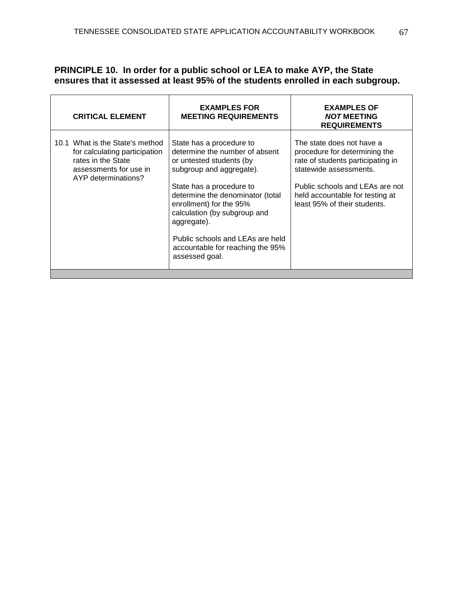# **PRINCIPLE 10. In order for a public school or LEA to make AYP, the State ensures that it assessed at least 95% of the students enrolled in each subgroup.**

sing.

 $\mathbf{r}$ 

| <b>CRITICAL ELEMENT</b>                                                                                                                 | <b>EXAMPLES FOR</b><br><b>MEETING REQUIREMENTS</b>                                                                                                                                                                                                                                                                                                     | <b>EXAMPLES OF</b><br><b>NOT MEETING</b><br><b>REQUIREMENTS</b>                                                                                                                                                                 |
|-----------------------------------------------------------------------------------------------------------------------------------------|--------------------------------------------------------------------------------------------------------------------------------------------------------------------------------------------------------------------------------------------------------------------------------------------------------------------------------------------------------|---------------------------------------------------------------------------------------------------------------------------------------------------------------------------------------------------------------------------------|
| 10.1 What is the State's method<br>for calculating participation<br>rates in the State<br>assessments for use in<br>AYP determinations? | State has a procedure to<br>determine the number of absent<br>or untested students (by<br>subgroup and aggregate).<br>State has a procedure to<br>determine the denominator (total<br>enrollment) for the 95%<br>calculation (by subgroup and<br>aggregate).<br>Public schools and LEAs are held<br>accountable for reaching the 95%<br>assessed goal. | The state does not have a<br>procedure for determining the<br>rate of students participating in<br>statewide assessments.<br>Public schools and LEAs are not<br>held accountable for testing at<br>least 95% of their students. |
|                                                                                                                                         |                                                                                                                                                                                                                                                                                                                                                        |                                                                                                                                                                                                                                 |

 $\overline{\phantom{a}}$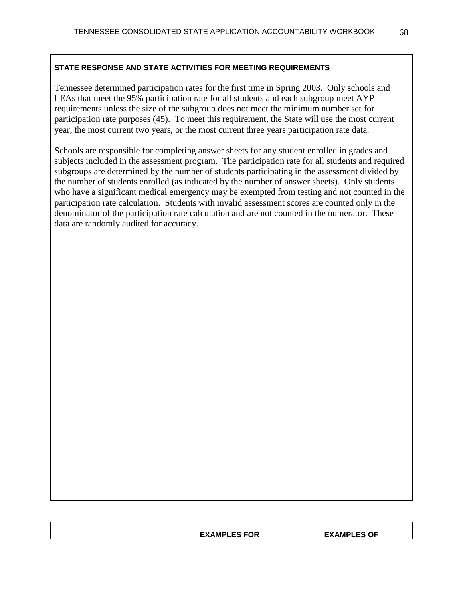Tennessee determined participation rates for the first time in Spring 2003. Only schools and LEAs that meet the 95% participation rate for all students and each subgroup meet AYP requirements unless the size of the subgroup does not meet the minimum number set for participation rate purposes (45). To meet this requirement, the State will use the most current year, the most current two years, or the most current three years participation rate data.

Schools are responsible for completing answer sheets for any student enrolled in grades and subjects included in the assessment program. The participation rate for all students and required subgroups are determined by the number of students participating in the assessment divided by the number of students enrolled (as indicated by the number of answer sheets). Only students who have a significant medical emergency may be exempted from testing and not counted in the participation rate calculation. Students with invalid assessment scores are counted only in the denominator of the participation rate calculation and are not counted in the numerator. These data are randomly audited for accuracy.

| <b>EXAMPLES FOR</b> | <b>AMPLES OF</b><br>FΥ |
|---------------------|------------------------|
|                     |                        |
|                     |                        |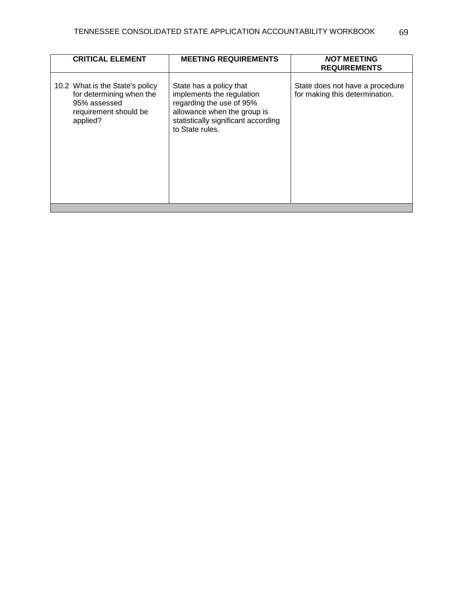| <b>CRITICAL ELEMENT</b>                                                                                          | <b>MEETING REQUIREMENTS</b>                                                                                                                                               | <b>NOT MEETING</b><br><b>REQUIREMENTS</b>                         |
|------------------------------------------------------------------------------------------------------------------|---------------------------------------------------------------------------------------------------------------------------------------------------------------------------|-------------------------------------------------------------------|
| 10.2 What is the State's policy<br>for determining when the<br>95% assessed<br>requirement should be<br>applied? | State has a policy that<br>implements the regulation<br>regarding the use of 95%<br>allowance when the group is<br>statistically significant according<br>to State rules. | State does not have a procedure<br>for making this determination. |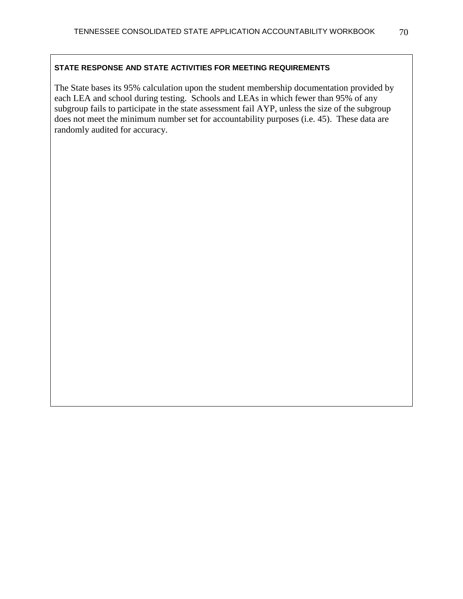The State bases its 95% calculation upon the student membership documentation provided by each LEA and school during testing. Schools and LEAs in which fewer than 95% of any subgroup fails to participate in the state assessment fail AYP, unless the size of the subgroup does not meet the minimum number set for accountability purposes (i.e. 45). These data are randomly audited for accuracy.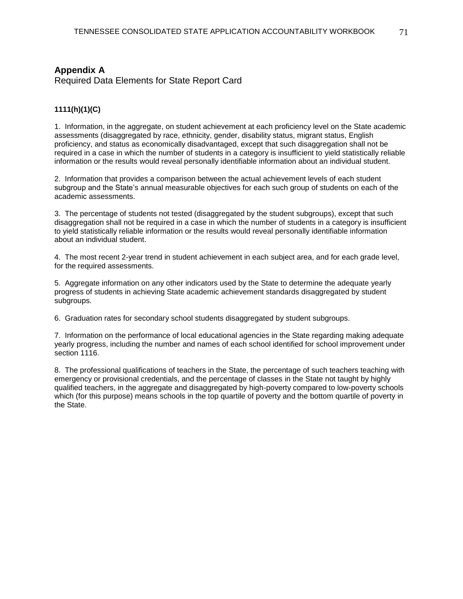# **Appendix A**

Required Data Elements for State Report Card

### **1111(h)(1)(C)**

1. Information, in the aggregate, on student achievement at each proficiency level on the State academic assessments (disaggregated by race, ethnicity, gender, disability status, migrant status, English proficiency, and status as economically disadvantaged, except that such disaggregation shall not be required in a case in which the number of students in a category is insufficient to yield statistically reliable information or the results would reveal personally identifiable information about an individual student.

2. Information that provides a comparison between the actual achievement levels of each student subgroup and the State's annual measurable objectives for each such group of students on each of the academic assessments.

3. The percentage of students not tested (disaggregated by the student subgroups), except that such disaggregation shall not be required in a case in which the number of students in a category is insufficient to yield statistically reliable information or the results would reveal personally identifiable information about an individual student.

4. The most recent 2-year trend in student achievement in each subject area, and for each grade level, for the required assessments.

5. Aggregate information on any other indicators used by the State to determine the adequate yearly progress of students in achieving State academic achievement standards disaggregated by student subgroups.

6. Graduation rates for secondary school students disaggregated by student subgroups.

7. Information on the performance of local educational agencies in the State regarding making adequate yearly progress, including the number and names of each school identified for school improvement under section 1116.

8. The professional qualifications of teachers in the State, the percentage of such teachers teaching with emergency or provisional credentials, and the percentage of classes in the State not taught by highly qualified teachers, in the aggregate and disaggregated by high-poverty compared to low-poverty schools which (for this purpose) means schools in the top quartile of poverty and the bottom quartile of poverty in the State.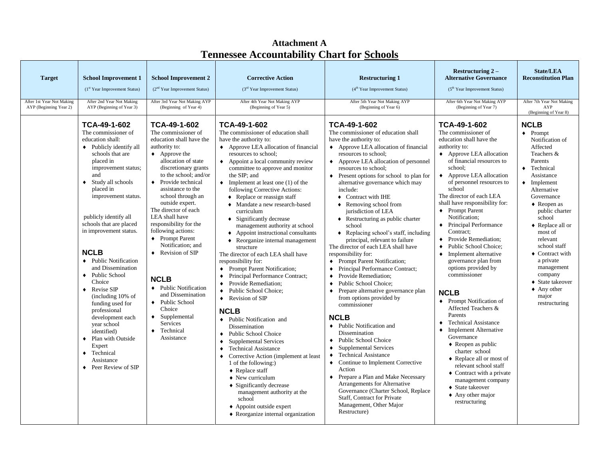| <b>Target</b><br>After 1st Year Not Making | <b>School Improvement 1</b><br>(1st Year Improvement Status)<br>After 2nd Year Not Making                                                                                                                                                                                                                                                                                                                                                                                                                                                                                                                                             | <b>School Improvement 2</b><br>$(2nd Year Improvement Status)$<br>After 3rd Year Not Making AYP                                                                                                                                                                                                                                                                                                                                                                                                                                                                                                                                        | <b>Corrective Action</b><br>(3 <sup>rd</sup> Year Improvement Status)<br>After 4th Year Not Making AYP                                                                                                                                                                                                                                                                                                                                                                                                                                                                                                                                                                                                                                                                                                                                                                                                                                                                                                                                                                                                                                                                                                                                                                                                                     | <b>Restructuring 1</b><br>(4 <sup>th</sup> Year Improvement Status)<br>After 5th Year Not Making AYP                                                                                                                                                                                                                                                                                                                                                                                                                                                                                                                                                                                                                                                                                                                                                                                                                                                                                                                                                                                                                                                                                                                                                              | Restructuring $2 -$<br><b>Alternative Governance</b><br>(5 <sup>th</sup> Year Improvement Status)<br>After 6th Year Not Making AYP                                                                                                                                                                                                                                                                                                                                                                                                                                                                                                                                                                                                                                                                                                                                                                                                                                                           | <b>State/LEA</b><br><b>Reconstitution Plan</b><br>After 7th Year Not Making                                                                                                                                                                                                                                                                                                                                                                |
|--------------------------------------------|---------------------------------------------------------------------------------------------------------------------------------------------------------------------------------------------------------------------------------------------------------------------------------------------------------------------------------------------------------------------------------------------------------------------------------------------------------------------------------------------------------------------------------------------------------------------------------------------------------------------------------------|----------------------------------------------------------------------------------------------------------------------------------------------------------------------------------------------------------------------------------------------------------------------------------------------------------------------------------------------------------------------------------------------------------------------------------------------------------------------------------------------------------------------------------------------------------------------------------------------------------------------------------------|----------------------------------------------------------------------------------------------------------------------------------------------------------------------------------------------------------------------------------------------------------------------------------------------------------------------------------------------------------------------------------------------------------------------------------------------------------------------------------------------------------------------------------------------------------------------------------------------------------------------------------------------------------------------------------------------------------------------------------------------------------------------------------------------------------------------------------------------------------------------------------------------------------------------------------------------------------------------------------------------------------------------------------------------------------------------------------------------------------------------------------------------------------------------------------------------------------------------------------------------------------------------------------------------------------------------------|-------------------------------------------------------------------------------------------------------------------------------------------------------------------------------------------------------------------------------------------------------------------------------------------------------------------------------------------------------------------------------------------------------------------------------------------------------------------------------------------------------------------------------------------------------------------------------------------------------------------------------------------------------------------------------------------------------------------------------------------------------------------------------------------------------------------------------------------------------------------------------------------------------------------------------------------------------------------------------------------------------------------------------------------------------------------------------------------------------------------------------------------------------------------------------------------------------------------------------------------------------------------|----------------------------------------------------------------------------------------------------------------------------------------------------------------------------------------------------------------------------------------------------------------------------------------------------------------------------------------------------------------------------------------------------------------------------------------------------------------------------------------------------------------------------------------------------------------------------------------------------------------------------------------------------------------------------------------------------------------------------------------------------------------------------------------------------------------------------------------------------------------------------------------------------------------------------------------------------------------------------------------------|--------------------------------------------------------------------------------------------------------------------------------------------------------------------------------------------------------------------------------------------------------------------------------------------------------------------------------------------------------------------------------------------------------------------------------------------|
| AYP (Beginning Year 2)                     | AYP (Beginning of Year 3)                                                                                                                                                                                                                                                                                                                                                                                                                                                                                                                                                                                                             | (Beginning of Year 4)                                                                                                                                                                                                                                                                                                                                                                                                                                                                                                                                                                                                                  | (Beginning of Year 5)                                                                                                                                                                                                                                                                                                                                                                                                                                                                                                                                                                                                                                                                                                                                                                                                                                                                                                                                                                                                                                                                                                                                                                                                                                                                                                      | (Beginning of Year 6)                                                                                                                                                                                                                                                                                                                                                                                                                                                                                                                                                                                                                                                                                                                                                                                                                                                                                                                                                                                                                                                                                                                                                                                                                                             | (Beginning of Year 7)                                                                                                                                                                                                                                                                                                                                                                                                                                                                                                                                                                                                                                                                                                                                                                                                                                                                                                                                                                        | AYP<br>(Beginning of Year 8)                                                                                                                                                                                                                                                                                                                                                                                                               |
|                                            | TCA-49-1-602<br>The commissioner of<br>education shall:<br>$\bullet$ Publicly identify all<br>schools that are<br>placed in<br>improvement status;<br>and<br>◆ Study all schools<br>placed in<br>improvement status.<br>publicly identify all<br>schools that are placed<br>in improvement status.<br><b>NCLB</b><br>• Public Notification<br>and Dissemination<br>◆ Public School<br>Choice<br>$\triangleleft$ Revise SIP<br>(including 10% of<br>funding used for<br>professional<br>development each<br>year school<br>identified)<br>• Plan with Outside<br>Expert<br>• Technical<br>Assistance<br>$\triangle$ Peer Review of SIP | TCA-49-1-602<br>The commissioner of<br>education shall have the<br>authority to:<br>$\leftrightarrow$ Approve the<br>allocation of state<br>discretionary grants<br>to the school; and/or<br>• Provide technical<br>assistance to the<br>school through an<br>outside expert.<br>The director of each<br>LEA shall have<br>responsibility for the<br>following actions:<br>$\bullet$ Prompt Parent<br>Notification; and<br>$\triangleleft$ Revision of SIP<br><b>NCLB</b><br>• Public Notification<br>and Dissemination<br>◆ Public School<br>Choice<br>$\bullet$ Supplemental<br><b>Services</b><br>$\bullet$ Technical<br>Assistance | TCA-49-1-602<br>The commissioner of education shall<br>have the authority to:<br>• Approve LEA allocation of financial<br>resources to school;<br>$\leftrightarrow$ Appoint a local community review<br>committee to approve and monitor<br>the SIP: and<br>$\bullet$ Implement at least one (1) of the<br>following Corrective Actions:<br>$\bullet$ Replace or reassign staff<br>• Mandate a new research-based<br>curriculum<br>$\bullet$ Significantly decrease<br>management authority at school<br>• Appoint instructional consultants<br>$\bullet$ Reorganize internal management<br>structure<br>The director of each LEA shall have<br>responsibility for:<br>• Prompt Parent Notification;<br>Principal Performance Contract;<br>$\bullet$<br>Provide Remediation;<br>Public School Choice:<br>$\bullet$<br>Revision of SIP<br>$\bullet$<br><b>NCLB</b><br>• Public Notification and<br>Dissemination<br>◆ Public School Choice<br><b>Supplemental Services</b><br>$\bullet$<br><b>Technical Assistance</b><br>$\bullet$<br>Corrective Action (implement at least<br>$\bullet$<br>1 of the following:)<br>$\triangle$ Replace staff<br>$\triangle$ New curriculum<br>$\bullet$ Significantly decrease<br>management authority at the<br>school<br>◆ Appoint outside expert<br>• Reorganize internal organization | TCA-49-1-602<br>The commissioner of education shall<br>have the authority to:<br>• Approve LEA allocation of financial<br>resources to school;<br>• Approve LEA allocation of personnel<br>resources to school;<br>$\bullet$ Present options for school to plan for<br>alternative governance which may<br>include:<br>• Contract with IHE<br>$\triangle$ Removing school from<br>jurisdiction of LEA<br>$\bullet$ Restructuring as public charter<br>school<br>$\bullet$ Replacing school's staff, including<br>principal, relevant to failure<br>The director of each LEA shall have<br>responsibility for:<br>• Prompt Parent Notification;<br>Principal Performance Contract;<br>$\bullet$<br>• Provide Remediation;<br>Public School Choice;<br>$\bullet$<br>$\bullet$ Prepare alternative governance plan<br>from options provided by<br>commissioner<br><b>NCLB</b><br>• Public Notification and<br>Dissemination<br>◆ Public School Choice<br><b>Supplemental Services</b><br>$\bullet$<br>◆ Technical Assistance<br>• Continue to Implement Corrective<br>Action<br>• Prepare a Plan and Make Necessary<br>Arrangements for Alternative<br>Governance (Charter School, Replace<br>Staff, Contract for Private<br>Management, Other Major<br>Restructure) | TCA-49-1-602<br>The commissioner of<br>education shall have the<br>authority to:<br>• Approve LEA allocation<br>of financial resources to<br>school:<br>Approve LEA allocation<br>$\bullet$<br>of personnel resources to<br>school<br>The director of each LEA<br>shall have responsibility for:<br>♦ Prompt Parent<br>Notification:<br>Principal Performance<br>$\bullet$<br>Contract:<br>Provide Remediation:<br>$\bullet$<br>◆ Public School Choice;<br>Implement alternative<br>$\bullet$<br>governance plan from<br>options provided by<br>commissioner<br><b>NCLB</b><br>• Prompt Notification of<br>Affected Teachers &<br>Parents<br><b>Technical Assistance</b><br>$\bullet$<br>$\blacklozenge$<br><b>Implement Alternative</b><br>Governance<br>$\triangle$ Reopen as public<br>charter school<br>• Replace all or most of<br>relevant school staff<br>$\bullet$ Contract with a private<br>management company<br>♦ State takeover<br>$\triangle$ Any other major<br>restructuring | <b>NCLB</b><br>$\bullet$ Prompt<br>Notification of<br>Affected<br>Teachers &<br>Parents<br>$\bullet$ Technical<br>Assistance<br>$\bullet$ Implement<br>Alternative<br>Governance<br>$\triangle$ Reopen as<br>public charter<br>school<br>$\triangle$ Replace all or<br>most of<br>relevant<br>school staff<br>• Contract with<br>a private<br>management<br>company<br>♦ State takeover<br>$\triangle$ Any other<br>major<br>restructuring |

# **Attachment A Tennessee Accountability Chart for Schools**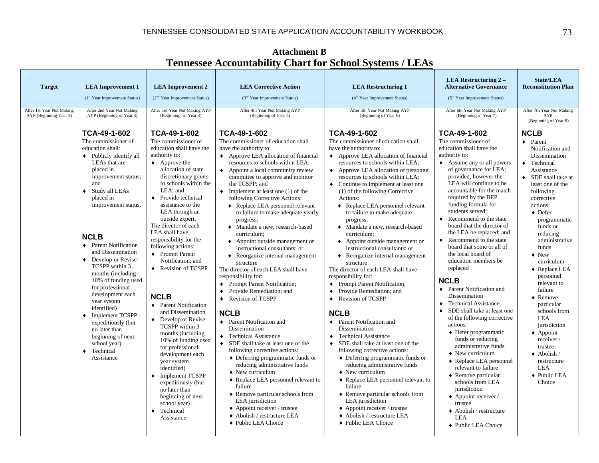|                                                     |                                                                                                                                                                                                                                                                                                                                                                                                                                                                                                                                                                                                            |                                                                                                                                                                                                                                                                                                                                                                                                                                                                                                                                                                                                                                                                                                                                                                                                                                             | Temicssee Accountability                                                                                                                                                                                                                                                                                                                                                                                                                                                                                                                                                                                                                                                                                                                                                                                                                                                                                                                                                                                                                                                                                                                                                                                                                                                                                              | Chart Tor Denoted Dybeems / Elements                                                                                                                                                                                                                                                                                                                                                                                                                                                                                                                                                                                                                                                                                                                                                                                                                                                                                                                                                                                                                                                                                                                                                                                                                                                                                   |                                                                                                                                                                                                                                                                                                                                                                                                                                                                                                                                                                                                                                                                                                                                                                                                                                                                                                                                                                                                                               |                                                                                                                                                                                                                                                                                                                                                                                                                                                                                                                                                                                         |
|-----------------------------------------------------|------------------------------------------------------------------------------------------------------------------------------------------------------------------------------------------------------------------------------------------------------------------------------------------------------------------------------------------------------------------------------------------------------------------------------------------------------------------------------------------------------------------------------------------------------------------------------------------------------------|---------------------------------------------------------------------------------------------------------------------------------------------------------------------------------------------------------------------------------------------------------------------------------------------------------------------------------------------------------------------------------------------------------------------------------------------------------------------------------------------------------------------------------------------------------------------------------------------------------------------------------------------------------------------------------------------------------------------------------------------------------------------------------------------------------------------------------------------|-----------------------------------------------------------------------------------------------------------------------------------------------------------------------------------------------------------------------------------------------------------------------------------------------------------------------------------------------------------------------------------------------------------------------------------------------------------------------------------------------------------------------------------------------------------------------------------------------------------------------------------------------------------------------------------------------------------------------------------------------------------------------------------------------------------------------------------------------------------------------------------------------------------------------------------------------------------------------------------------------------------------------------------------------------------------------------------------------------------------------------------------------------------------------------------------------------------------------------------------------------------------------------------------------------------------------|------------------------------------------------------------------------------------------------------------------------------------------------------------------------------------------------------------------------------------------------------------------------------------------------------------------------------------------------------------------------------------------------------------------------------------------------------------------------------------------------------------------------------------------------------------------------------------------------------------------------------------------------------------------------------------------------------------------------------------------------------------------------------------------------------------------------------------------------------------------------------------------------------------------------------------------------------------------------------------------------------------------------------------------------------------------------------------------------------------------------------------------------------------------------------------------------------------------------------------------------------------------------------------------------------------------------|-------------------------------------------------------------------------------------------------------------------------------------------------------------------------------------------------------------------------------------------------------------------------------------------------------------------------------------------------------------------------------------------------------------------------------------------------------------------------------------------------------------------------------------------------------------------------------------------------------------------------------------------------------------------------------------------------------------------------------------------------------------------------------------------------------------------------------------------------------------------------------------------------------------------------------------------------------------------------------------------------------------------------------|-----------------------------------------------------------------------------------------------------------------------------------------------------------------------------------------------------------------------------------------------------------------------------------------------------------------------------------------------------------------------------------------------------------------------------------------------------------------------------------------------------------------------------------------------------------------------------------------|
| <b>Target</b>                                       | <b>LEA</b> Improvement 1<br>(1st Year Improvement Status)                                                                                                                                                                                                                                                                                                                                                                                                                                                                                                                                                  | <b>LEA Improvement 2</b><br>(2 <sup>nd</sup> Year Improvement Status)                                                                                                                                                                                                                                                                                                                                                                                                                                                                                                                                                                                                                                                                                                                                                                       | <b>LEA Corrective Action</b><br>$(3rd Year Improvement Status)$                                                                                                                                                                                                                                                                                                                                                                                                                                                                                                                                                                                                                                                                                                                                                                                                                                                                                                                                                                                                                                                                                                                                                                                                                                                       | <b>LEA Restructuring 1</b><br>$(4th Year Improvement Status)$                                                                                                                                                                                                                                                                                                                                                                                                                                                                                                                                                                                                                                                                                                                                                                                                                                                                                                                                                                                                                                                                                                                                                                                                                                                          | <b>LEA Restructuring 2-</b><br><b>Alternative Governance</b><br>(5 <sup>th</sup> Year Improvement Status)                                                                                                                                                                                                                                                                                                                                                                                                                                                                                                                                                                                                                                                                                                                                                                                                                                                                                                                     | <b>State/LEA</b><br><b>Reconstitution Plan</b>                                                                                                                                                                                                                                                                                                                                                                                                                                                                                                                                          |
| After 1st Year Not Making<br>AYP (Beginning Year 2) | After 2nd Year Not Making<br>AYP (Beginning of Year 3)                                                                                                                                                                                                                                                                                                                                                                                                                                                                                                                                                     | After 3rd Year Not Making AYP<br>(Beginning of Year 4)                                                                                                                                                                                                                                                                                                                                                                                                                                                                                                                                                                                                                                                                                                                                                                                      | After 4th Year Not Making AYP<br>(Beginning of Year 5)                                                                                                                                                                                                                                                                                                                                                                                                                                                                                                                                                                                                                                                                                                                                                                                                                                                                                                                                                                                                                                                                                                                                                                                                                                                                | After 5th Year Not Making AYP<br>(Beginning of Year 6)                                                                                                                                                                                                                                                                                                                                                                                                                                                                                                                                                                                                                                                                                                                                                                                                                                                                                                                                                                                                                                                                                                                                                                                                                                                                 | After 6th Year Not Making AYP<br>(Beginning of Year 7)                                                                                                                                                                                                                                                                                                                                                                                                                                                                                                                                                                                                                                                                                                                                                                                                                                                                                                                                                                        | After 7th Year Not Making<br>AYP<br>(Beginning of Year 8)                                                                                                                                                                                                                                                                                                                                                                                                                                                                                                                               |
|                                                     | TCA-49-1-602<br>The commissioner of<br>education shall:<br>$\bullet$ Publicly identify all<br>LEAs that are<br>placed in<br>improvement status;<br>and<br>$\bullet$ Study all LEAs<br>placed in<br>improvement status.<br><b>NCLB</b><br>♦ Parent Notification<br>and Dissemination<br>Develop or Revise<br>$\bullet$<br>TCSPP within 3<br>months (including<br>10% of funding used<br>for professional<br>development each<br>year system<br>identified)<br>$\bullet$ Implement TCSPP<br>expeditiously (but<br>no later than<br>beginning of next<br>school year)<br>Technical<br>$\bullet$<br>Assistance | TCA-49-1-602<br>The commissioner of<br>education shall have the<br>authority to:<br>$\leftrightarrow$ Approve the<br>allocation of state<br>discretionary grants<br>to schools within the<br>LEA: and<br>Provide technical<br>$\bullet$<br>assistance to the<br>LEA through an<br>outside expert.<br>The director of each<br>LEA shall have<br>responsibility for the<br>following actions:<br>♦ Prompt Parent<br>Notification; and<br>♦ Revision of TCSPP<br><b>NCLB</b><br>• Parent Notification<br>and Dissemination<br>Develop or Revise<br>TCSPP within 3<br>months (including<br>10% of funding used<br>for professional<br>development each<br>year system<br>identified)<br><b>Implement TCSPP</b><br>$\bullet$<br>expeditiously (but<br>no later than<br>beginning of next<br>school year)<br>Technical<br>$\bullet$<br>Assistance | TCA-49-1-602<br>The commissioner of education shall<br>have the authority to:<br>• Approve LEA allocation of financial<br>resources to schools within LEA;<br>$\bullet$ Appoint a local community review<br>committee to approve and monitor<br>the TCSPP; and<br>$\bullet$ Implement at least one (1) of the<br>following Corrective Actions:<br>◆ Replace LEA personnel relevant<br>to failure to make adequate yearly<br>progress;<br>• Mandate a new, research-based<br>curriculum;<br>• Appoint outside management or<br>instructional consultants; or<br>$\bullet$ Reorganize internal management<br>structure<br>The director of each LEA shall have<br>responsibility for:<br>Prompt Parent Notification;<br>$\bullet$<br>Provide Remediation: and<br>$\bullet$<br><b>Revision of TCSPP</b><br>$\bullet$<br><b>NCLB</b><br>• Parent Notification and<br>Dissemination<br>• Technical Assistance<br>SDE shall take at least one of the<br>$\bullet$<br>following corrective actions:<br>$\bullet$ Deferring programmatic funds or<br>reducing administrative funds<br>$\blacklozenge$ New curriculum<br>• Replace LEA personnel relevant to<br>failure<br>$\triangle$ Remove particular schools from<br>LEA jurisdiction<br>• Appoint receiver / trustee<br>◆ Abolish / restructure LEA<br>◆ Public LEA Choice | TCA-49-1-602<br>The commissioner of education shall<br>have the authority to:<br>• Approve LEA allocation of financial<br>resources to schools within LEA;<br>Approve LEA allocation of personnel<br>$\bullet$<br>resources to schools within LEA;<br>Continue to Implement at least one<br>$\bullet$<br>(1) of the following Corrective<br>Actions:<br>◆ Replace LEA personnel relevant<br>to failure to make adequate<br>progress;<br>• Mandate a new, research-based<br>curriculum;<br>• Appoint outside management or<br>instructional consultants; or<br>• Reorganize internal management<br>structure<br>The director of each LEA shall have<br>responsibility for:<br>Prompt Parent Notification;<br>$\bullet$<br>Provide Remediation: and<br>$\bullet$<br><b>Revision of TCSPP</b><br>$\bullet$<br><b>NCLB</b><br>• Parent Notification and<br>Dissemination<br><b>Technical Assistance</b><br>$\bullet$<br>SDE shall take at least one of the<br>$\bullet$<br>following corrective actions:<br>• Deferring programmatic funds or<br>reducing administrative funds<br>$\blacklozenge$ New curriculum<br>• Replace LEA personnel relevant to<br>failure<br>• Remove particular schools from<br>LEA jurisdiction<br>$\triangle$ Appoint receiver / trustee<br>◆ Abolish / restructure LEA<br>◆ Public LEA Choice | TCA-49-1-602<br>The commissioner of<br>education shall have the<br>authority to:<br>$\triangle$ Assume any or all powers<br>of governance for LEA;<br>provided, however the<br>LEA will continue to be<br>accountable for the match<br>required by the BEP<br>funding formula for<br>students served:<br>• Recommend to the state<br>board that the director of<br>the LEA be replaced; and<br>• Recommend to the state<br>board that some or all of<br>the local board of<br>education members be<br>replaced<br><b>NCLB</b><br>• Parent Notification and<br>Dissemination<br>• Technical Assistance<br>• SDE shall take at least one<br>of the following corrective<br>actions:<br>$\bullet$ Defer programmatic<br>funds or reducing<br>administrative funds<br>$\blacklozenge$ New curriculum<br>◆ Replace LEA personnel<br>relevant to failure<br>$\triangle$ Remove particular<br>schools from LEA<br>jurisdiction<br>◆ Appoint receiver /<br>trustee<br>$\triangle$ Abolish / restructure<br>LEA<br>◆ Public LEA Choice | <b>NCLB</b><br>$\bullet$ Parent<br>Notification and<br>Dissemination<br>• Technical<br>Assistance<br>$\bullet$ SDE shall take at<br>least one of the<br>following<br>corrective<br>actions:<br>$\bullet$ Defer<br>programmatic<br>funds or<br>reducing<br>administrative<br>funds<br>$\bullet$ New<br>curriculum<br>◆ Replace LEA<br>personnel<br>relevant to<br>failure<br>$\bullet$ Remove<br>particular<br>schools from<br><b>LEA</b><br>jurisdiction<br>$\triangle$ Appoint<br>receiver/<br>trustee<br>$\triangle$ Abolish /<br>restructure<br><b>LEA</b><br>◆ Public LEA<br>Choice |

**Attachment B Tennessee Accountability Chart for School Systems / LEAs**